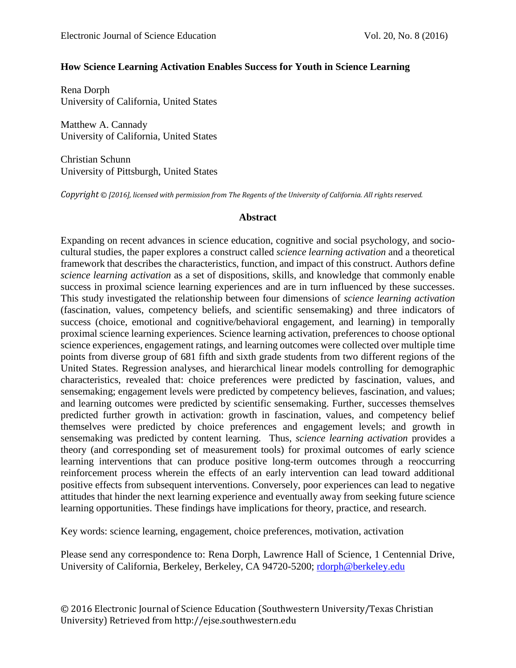#### **How Science Learning Activation Enables Success for Youth in Science Learning**

Rena Dorph University of California, United States

Matthew A. Cannady University of California, United States

Christian Schunn University of Pittsburgh, United States

*Copyright © [2016], licensed with permission from The Regents of the University of California. All rights reserved.*

#### **Abstract**

Expanding on recent advances in science education, cognitive and social psychology, and sociocultural studies, the paper explores a construct called *science learning activation* and a theoretical framework that describes the characteristics, function, and impact of this construct. Authors define *science learning activation* as a set of dispositions, skills, and knowledge that commonly enable success in proximal science learning experiences and are in turn influenced by these successes. This study investigated the relationship between four dimensions of *science learning activation* (fascination, values, competency beliefs, and scientific sensemaking) and three indicators of success (choice, emotional and cognitive/behavioral engagement, and learning) in temporally proximal science learning experiences. Science learning activation, preferences to choose optional science experiences, engagement ratings, and learning outcomes were collected over multiple time points from diverse group of 681 fifth and sixth grade students from two different regions of the United States. Regression analyses, and hierarchical linear models controlling for demographic characteristics, revealed that: choice preferences were predicted by fascination, values, and sensemaking; engagement levels were predicted by competency believes, fascination, and values; and learning outcomes were predicted by scientific sensemaking. Further, successes themselves predicted further growth in activation: growth in fascination, values, and competency belief themselves were predicted by choice preferences and engagement levels; and growth in sensemaking was predicted by content learning. Thus, *science learning activation* provides a theory (and corresponding set of measurement tools) for proximal outcomes of early science learning interventions that can produce positive long-term outcomes through a reoccurring reinforcement process wherein the effects of an early intervention can lead toward additional positive effects from subsequent interventions. Conversely, poor experiences can lead to negative attitudes that hinder the next learning experience and eventually away from seeking future science learning opportunities. These findings have implications for theory, practice, and research.

Key words: science learning, engagement, choice preferences, motivation, activation

Please send any correspondence to: Rena Dorph, Lawrence Hall of Science, 1 Centennial Drive, University of California, Berkeley, Berkeley, CA 94720-5200; [rdorph@berkeley.edu](mailto:rdorph@berkeley.edu)

© 2016 Electronic Journal of Science Education (Southwestern University/Texas Christian University) Retrieved from http://ejse.southwestern.edu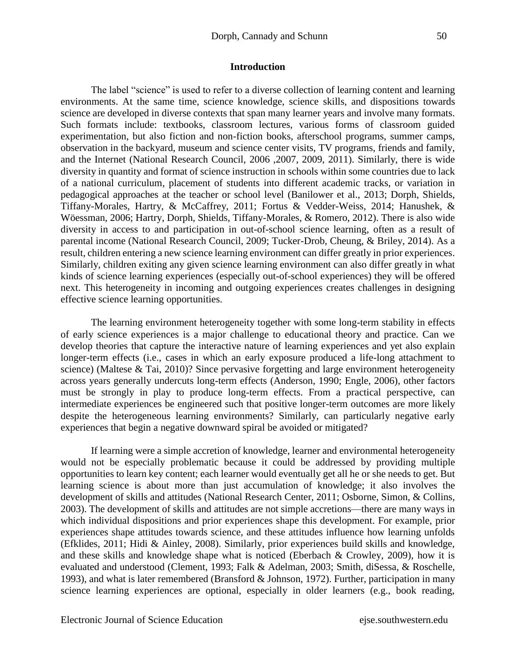#### **Introduction**

The label "science" is used to refer to a diverse collection of learning content and learning environments. At the same time, science knowledge, science skills, and dispositions towards science are developed in diverse contexts that span many learner years and involve many formats. Such formats include: textbooks, classroom lectures, various forms of classroom guided experimentation, but also fiction and non-fiction books, afterschool programs, summer camps, observation in the backyard, museum and science center visits, TV programs, friends and family, and the Internet (National Research Council, 2006 ,2007, 2009, 2011). Similarly, there is wide diversity in quantity and format of science instruction in schools within some countries due to lack of a national curriculum, placement of students into different academic tracks, or variation in pedagogical approaches at the teacher or school level (Banilower et al., 2013; Dorph, Shields, Tiffany-Morales, Hartry, & McCaffrey, 2011; Fortus & Vedder-Weiss, 2014; Hanushek, & Wöessman, 2006; Hartry, Dorph, Shields, Tiffany-Morales, & Romero, 2012). There is also wide diversity in access to and participation in out-of-school science learning, often as a result of parental income (National Research Council, 2009; Tucker-Drob, Cheung, & Briley, 2014). As a result, children entering a new science learning environment can differ greatly in prior experiences. Similarly, children exiting any given science learning environment can also differ greatly in what kinds of science learning experiences (especially out-of-school experiences) they will be offered next. This heterogeneity in incoming and outgoing experiences creates challenges in designing effective science learning opportunities.

The learning environment heterogeneity together with some long-term stability in effects of early science experiences is a major challenge to educational theory and practice. Can we develop theories that capture the interactive nature of learning experiences and yet also explain longer-term effects (i.e., cases in which an early exposure produced a life-long attachment to science) (Maltese & Tai, 2010)? Since pervasive forgetting and large environment heterogeneity across years generally undercuts long-term effects (Anderson, 1990; Engle, 2006), other factors must be strongly in play to produce long-term effects. From a practical perspective, can intermediate experiences be engineered such that positive longer-term outcomes are more likely despite the heterogeneous learning environments? Similarly, can particularly negative early experiences that begin a negative downward spiral be avoided or mitigated?

If learning were a simple accretion of knowledge, learner and environmental heterogeneity would not be especially problematic because it could be addressed by providing multiple opportunities to learn key content; each learner would eventually get all he or she needs to get. But learning science is about more than just accumulation of knowledge; it also involves the development of skills and attitudes (National Research Center, 2011; Osborne, Simon, & Collins, 2003). The development of skills and attitudes are not simple accretions—there are many ways in which individual dispositions and prior experiences shape this development. For example, prior experiences shape attitudes towards science, and these attitudes influence how learning unfolds (Efklides, 2011; Hidi & Ainley, 2008). Similarly, prior experiences build skills and knowledge, and these skills and knowledge shape what is noticed (Eberbach & Crowley, 2009), how it is evaluated and understood (Clement, 1993; Falk & Adelman, 2003; Smith, diSessa, & Roschelle, 1993), and what is later remembered (Bransford & Johnson, 1972). Further, participation in many science learning experiences are optional, especially in older learners (e.g., book reading,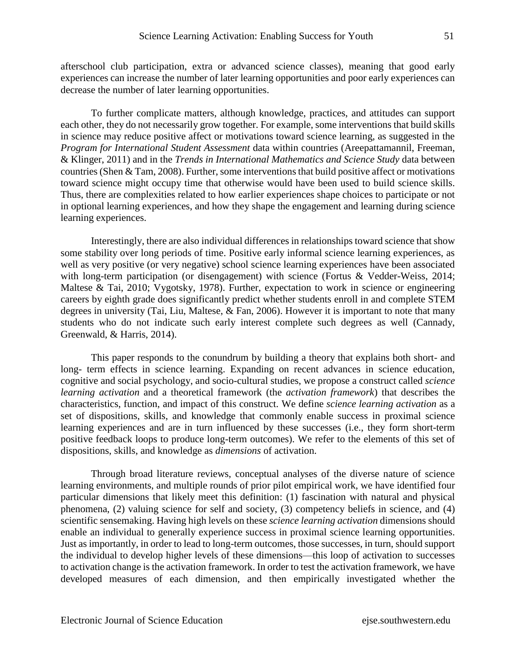afterschool club participation, extra or advanced science classes), meaning that good early experiences can increase the number of later learning opportunities and poor early experiences can decrease the number of later learning opportunities.

To further complicate matters, although knowledge, practices, and attitudes can support each other, they do not necessarily grow together. For example, some interventions that build skills in science may reduce positive affect or motivations toward science learning, as suggested in the *Program for International Student Assessment* data within countries (Areepattamannil, Freeman, & Klinger, 2011) and in the *Trends in International Mathematics and Science Study* data between countries (Shen & Tam, 2008). Further, some interventions that build positive affect or motivations toward science might occupy time that otherwise would have been used to build science skills. Thus, there are complexities related to how earlier experiences shape choices to participate or not in optional learning experiences, and how they shape the engagement and learning during science learning experiences.

Interestingly, there are also individual differences in relationships toward science that show some stability over long periods of time. Positive early informal science learning experiences, as well as very positive (or very negative) school science learning experiences have been associated with long-term participation (or disengagement) with science (Fortus & Vedder-Weiss, 2014; Maltese & Tai, 2010; Vygotsky, 1978). Further, expectation to work in science or engineering careers by eighth grade does significantly predict whether students enroll in and complete STEM degrees in university (Tai, Liu, Maltese, & Fan, 2006). However it is important to note that many students who do not indicate such early interest complete such degrees as well (Cannady, Greenwald, & Harris, 2014).

This paper responds to the conundrum by building a theory that explains both short- and long- term effects in science learning. Expanding on recent advances in science education, cognitive and social psychology, and socio-cultural studies, we propose a construct called *science learning activation* and a theoretical framework (the *activation framework*) that describes the characteristics, function, and impact of this construct. We define *science learning activation* as a set of dispositions, skills, and knowledge that commonly enable success in proximal science learning experiences and are in turn influenced by these successes (i.e., they form short-term positive feedback loops to produce long-term outcomes). We refer to the elements of this set of dispositions, skills, and knowledge as *dimensions* of activation.

Through broad literature reviews, conceptual analyses of the diverse nature of science learning environments, and multiple rounds of prior pilot empirical work, we have identified four particular dimensions that likely meet this definition: (1) fascination with natural and physical phenomena, (2) valuing science for self and society, (3) competency beliefs in science, and (4) scientific sensemaking. Having high levels on these *science learning activation* dimensions should enable an individual to generally experience success in proximal science learning opportunities. Just as importantly, in order to lead to long-term outcomes, those successes, in turn, should support the individual to develop higher levels of these dimensions—this loop of activation to successes to activation change is the activation framework. In order to test the activation framework, we have developed measures of each dimension, and then empirically investigated whether the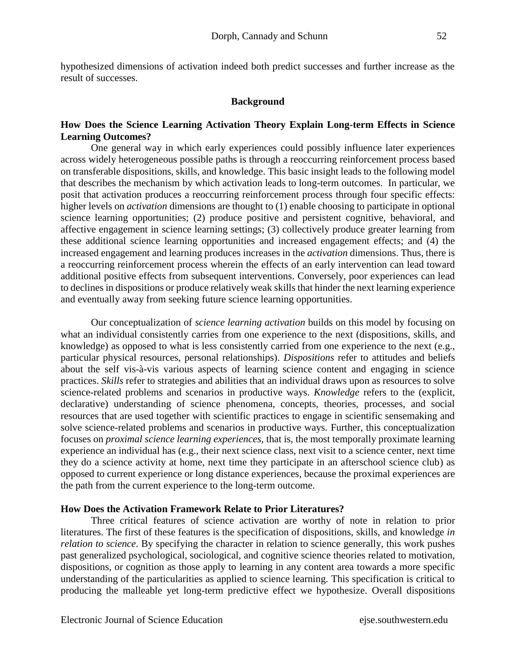hypothesized dimensions of activation indeed both predict successes and further increase as the result of successes.

#### **Background**

#### **How Does the Science Learning Activation Theory Explain Long-term Effects in Science Learning Outcomes?**

One general way in which early experiences could possibly influence later experiences across widely heterogeneous possible paths is through a reoccurring reinforcement process based on transferable dispositions, skills, and knowledge. This basic insight leads to the following model that describes the mechanism by which activation leads to long-term outcomes. In particular, we posit that activation produces a reoccurring reinforcement process through four specific effects: higher levels on *activation* dimensions are thought to (1) enable choosing to participate in optional science learning opportunities; (2) produce positive and persistent cognitive, behavioral, and affective engagement in science learning settings; (3) collectively produce greater learning from these additional science learning opportunities and increased engagement effects; and (4) the increased engagement and learning produces increases in the *activation* dimensions. Thus, there is a reoccurring reinforcement process wherein the effects of an early intervention can lead toward additional positive effects from subsequent interventions. Conversely, poor experiences can lead to declines in dispositions or produce relatively weak skills that hinder the next learning experience and eventually away from seeking future science learning opportunities.

Our conceptualization of *science learning activation* builds on this model by focusing on what an individual consistently carries from one experience to the next (dispositions, skills, and knowledge) as opposed to what is less consistently carried from one experience to the next (e.g., particular physical resources, personal relationships). *Dispositions* refer to attitudes and beliefs about the self vis-à-vis various aspects of learning science content and engaging in science practices. *Skills* refer to strategies and abilities that an individual draws upon as resources to solve science-related problems and scenarios in productive ways. *Knowledge* refers to the (explicit, declarative) understanding of science phenomena, concepts, theories, processes, and social resources that are used together with scientific practices to engage in scientific sensemaking and solve science-related problems and scenarios in productive ways. Further, this conceptualization focuses on *proximal science learning experiences,* that is, the most temporally proximate learning experience an individual has (e.g., their next science class, next visit to a science center, next time they do a science activity at home, next time they participate in an afterschool science club) as opposed to current experience or long distance experiences, because the proximal experiences are the path from the current experience to the long-term outcome.

#### **How Does the Activation Framework Relate to Prior Literatures?**

Three critical features of science activation are worthy of note in relation to prior literatures. The first of these features is the specification of dispositions, skills, and knowledge *in relation to science*. By specifying the character in relation to science generally, this work pushes past generalized psychological, sociological, and cognitive science theories related to motivation, dispositions, or cognition as those apply to learning in any content area towards a more specific understanding of the particularities as applied to science learning. This specification is critical to producing the malleable yet long-term predictive effect we hypothesize. Overall dispositions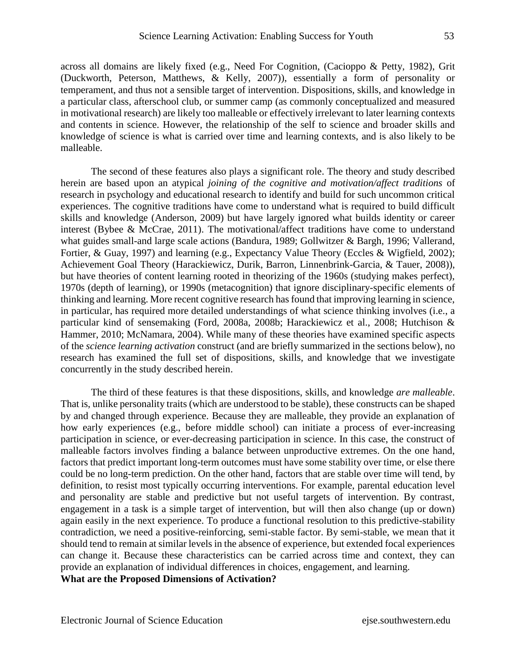across all domains are likely fixed (e.g., Need For Cognition, (Cacioppo & Petty, 1982), Grit (Duckworth, Peterson, Matthews, & Kelly, 2007)), essentially a form of personality or temperament, and thus not a sensible target of intervention. Dispositions, skills, and knowledge in a particular class, afterschool club, or summer camp (as commonly conceptualized and measured in motivational research) are likely too malleable or effectively irrelevant to later learning contexts and contents in science. However, the relationship of the self to science and broader skills and knowledge of science is what is carried over time and learning contexts, and is also likely to be malleable.

The second of these features also plays a significant role. The theory and study described herein are based upon an atypical *joining of the cognitive and motivation/affect traditions* of research in psychology and educational research to identify and build for such uncommon critical experiences. The cognitive traditions have come to understand what is required to build difficult skills and knowledge (Anderson, 2009) but have largely ignored what builds identity or career interest (Bybee & McCrae, 2011). The motivational/affect traditions have come to understand what guides small-and large scale actions (Bandura, 1989; Gollwitzer & Bargh, 1996; Vallerand, Fortier, & Guay, 1997) and learning (e.g., Expectancy Value Theory (Eccles & Wigfield, 2002); Achievement Goal Theory (Harackiewicz, Durik, Barron, Linnenbrink-Garcia, & Tauer, 2008)), but have theories of content learning rooted in theorizing of the 1960s (studying makes perfect), 1970s (depth of learning), or 1990s (metacognition) that ignore disciplinary-specific elements of thinking and learning. More recent cognitive research has found that improving learning in science, in particular, has required more detailed understandings of what science thinking involves (i.e., a particular kind of sensemaking (Ford, 2008a, 2008b; Harackiewicz et al., 2008; Hutchison & Hammer, 2010; McNamara, 2004). While many of these theories have examined specific aspects of the *science learning activation* construct (and are briefly summarized in the sections below), no research has examined the full set of dispositions, skills, and knowledge that we investigate concurrently in the study described herein.

The third of these features is that these dispositions, skills, and knowledge *are malleable*. That is, unlike personality traits (which are understood to be stable), these constructs can be shaped by and changed through experience. Because they are malleable, they provide an explanation of how early experiences (e.g., before middle school) can initiate a process of ever-increasing participation in science, or ever-decreasing participation in science. In this case, the construct of malleable factors involves finding a balance between unproductive extremes. On the one hand, factors that predict important long-term outcomes must have some stability over time, or else there could be no long-term prediction. On the other hand, factors that are stable over time will tend, by definition, to resist most typically occurring interventions. For example, parental education level and personality are stable and predictive but not useful targets of intervention. By contrast, engagement in a task is a simple target of intervention, but will then also change (up or down) again easily in the next experience. To produce a functional resolution to this predictive-stability contradiction, we need a positive-reinforcing, semi-stable factor. By semi-stable, we mean that it should tend to remain at similar levels in the absence of experience, but extended focal experiences can change it. Because these characteristics can be carried across time and context, they can provide an explanation of individual differences in choices, engagement, and learning.

**What are the Proposed Dimensions of Activation?**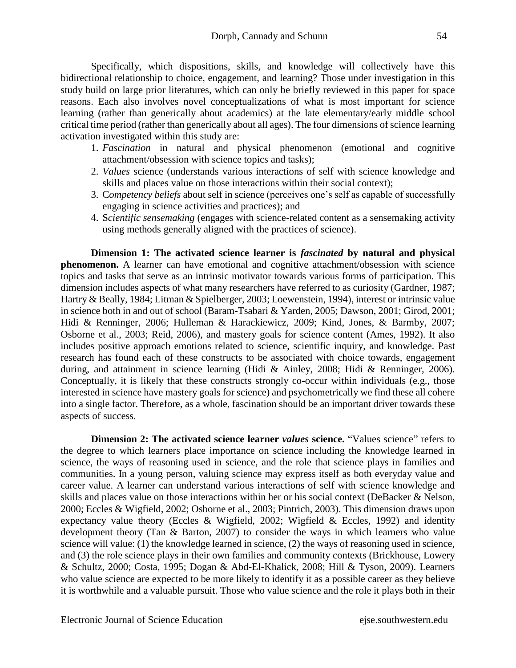Specifically, which dispositions, skills, and knowledge will collectively have this bidirectional relationship to choice, engagement, and learning? Those under investigation in this study build on large prior literatures, which can only be briefly reviewed in this paper for space reasons. Each also involves novel conceptualizations of what is most important for science learning (rather than generically about academics) at the late elementary/early middle school critical time period (rather than generically about all ages). The four dimensions of science learning activation investigated within this study are:

- 1. *Fascination* in natural and physical phenomenon (emotional and cognitive attachment/obsession with science topics and tasks);
- 2. *Values* science (understands various interactions of self with science knowledge and skills and places value on those interactions within their social context);
- 3. C*ompetency beliefs* about self in science (perceives one's self as capable of successfully engaging in science activities and practices); and
- 4. S*cientific sensemaking* (engages with science-related content as a sensemaking activity using methods generally aligned with the practices of science).

**Dimension 1: The activated science learner is** *fascinated* **by natural and physical phenomenon.** A learner can have emotional and cognitive attachment/obsession with science topics and tasks that serve as an intrinsic motivator towards various forms of participation. This dimension includes aspects of what many researchers have referred to as curiosity (Gardner, 1987; Hartry & Beally, 1984; Litman & Spielberger, 2003; Loewenstein, 1994), interest or intrinsic value in science both in and out of school (Baram-Tsabari & Yarden, 2005; Dawson, 2001; Girod, 2001; Hidi & Renninger, 2006; Hulleman & Harackiewicz, 2009; Kind, Jones, & Barmby, 2007; Osborne et al., 2003; Reid, 2006), and mastery goals for science content (Ames, 1992). It also includes positive approach emotions related to science, scientific inquiry, and knowledge. Past research has found each of these constructs to be associated with choice towards, engagement during, and attainment in science learning (Hidi & Ainley, 2008; Hidi & Renninger, 2006). Conceptually, it is likely that these constructs strongly co-occur within individuals (e.g., those interested in science have mastery goals for science) and psychometrically we find these all cohere into a single factor. Therefore, as a whole, fascination should be an important driver towards these aspects of success.

**Dimension 2: The activated science learner** *values* **science.** "Values science" refers to the degree to which learners place importance on science including the knowledge learned in science, the ways of reasoning used in science, and the role that science plays in families and communities. In a young person, valuing science may express itself as both everyday value and career value. A learner can understand various interactions of self with science knowledge and skills and places value on those interactions within her or his social context (DeBacker & Nelson, 2000; Eccles & Wigfield, 2002; Osborne et al., 2003; Pintrich, 2003). This dimension draws upon expectancy value theory (Eccles & Wigfield, 2002; Wigfield & Eccles, 1992) and identity development theory (Tan & Barton, 2007) to consider the ways in which learners who value science will value: (1) the knowledge learned in science, (2) the ways of reasoning used in science, and (3) the role science plays in their own families and community contexts (Brickhouse, Lowery & Schultz, 2000; Costa, 1995; Dogan & Abd-El-Khalick, 2008; Hill & Tyson, 2009). Learners who value science are expected to be more likely to identify it as a possible career as they believe it is worthwhile and a valuable pursuit. Those who value science and the role it plays both in their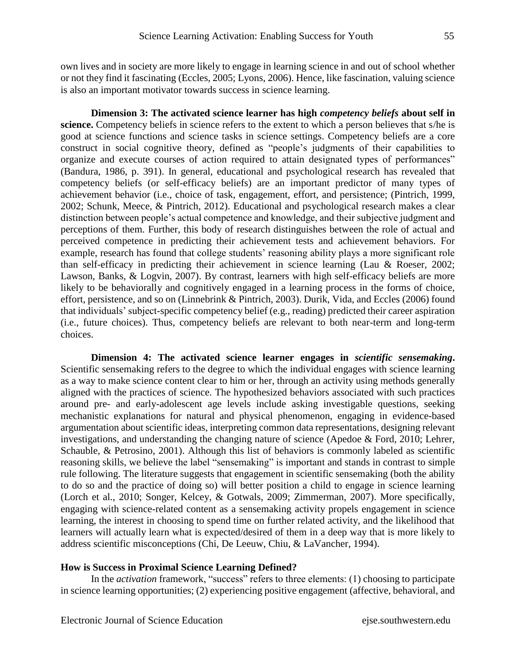own lives and in society are more likely to engage in learning science in and out of school whether or not they find it fascinating (Eccles, 2005; Lyons, 2006). Hence, like fascination, valuing science is also an important motivator towards success in science learning.

**Dimension 3: The activated science learner has high** *competency beliefs* **about self in science.** Competency beliefs in science refers to the extent to which a person believes that s/he is good at science functions and science tasks in science settings. Competency beliefs are a core construct in social cognitive theory, defined as "people's judgments of their capabilities to organize and execute courses of action required to attain designated types of performances" (Bandura, 1986, p. 391). In general, educational and psychological research has revealed that competency beliefs (or self-efficacy beliefs) are an important predictor of many types of achievement behavior (i.e., choice of task, engagement, effort, and persistence; (Pintrich, 1999, 2002; Schunk, Meece, & Pintrich, 2012). Educational and psychological research makes a clear distinction between people's actual competence and knowledge, and their subjective judgment and perceptions of them. Further, this body of research distinguishes between the role of actual and perceived competence in predicting their achievement tests and achievement behaviors. For example, research has found that college students' reasoning ability plays a more significant role than self-efficacy in predicting their achievement in science learning (Lau & Roeser, 2002; Lawson, Banks, & Logvin, 2007). By contrast, learners with high self-efficacy beliefs are more likely to be behaviorally and cognitively engaged in a learning process in the forms of choice, effort, persistence, and so on (Linnebrink & Pintrich, 2003). Durik, Vida, and Eccles (2006) found that individuals' subject-specific competency belief (e.g., reading) predicted their career aspiration (i.e., future choices). Thus, competency beliefs are relevant to both near-term and long-term choices.

**Dimension 4: The activated science learner engages in** *scientific sensemaking***.** Scientific sensemaking refers to the degree to which the individual engages with science learning as a way to make science content clear to him or her, through an activity using methods generally aligned with the practices of science. The hypothesized behaviors associated with such practices around pre- and early-adolescent age levels include asking investigable questions, seeking mechanistic explanations for natural and physical phenomenon, engaging in evidence-based argumentation about scientific ideas, interpreting common data representations, designing relevant investigations, and understanding the changing nature of science (Apedoe & Ford, 2010; Lehrer, Schauble, & Petrosino, 2001). Although this list of behaviors is commonly labeled as scientific reasoning skills, we believe the label "sensemaking" is important and stands in contrast to simple rule following. The literature suggests that engagement in scientific sensemaking (both the ability to do so and the practice of doing so) will better position a child to engage in science learning (Lorch et al., 2010; Songer, Kelcey, & Gotwals, 2009; Zimmerman, 2007). More specifically, engaging with science-related content as a sensemaking activity propels engagement in science learning, the interest in choosing to spend time on further related activity, and the likelihood that learners will actually learn what is expected/desired of them in a deep way that is more likely to address scientific misconceptions (Chi, De Leeuw, Chiu, & LaVancher, 1994).

#### **How is Success in Proximal Science Learning Defined?**

In the *activation* framework, "success" refers to three elements: (1) choosing to participate in science learning opportunities; (2) experiencing positive engagement (affective, behavioral, and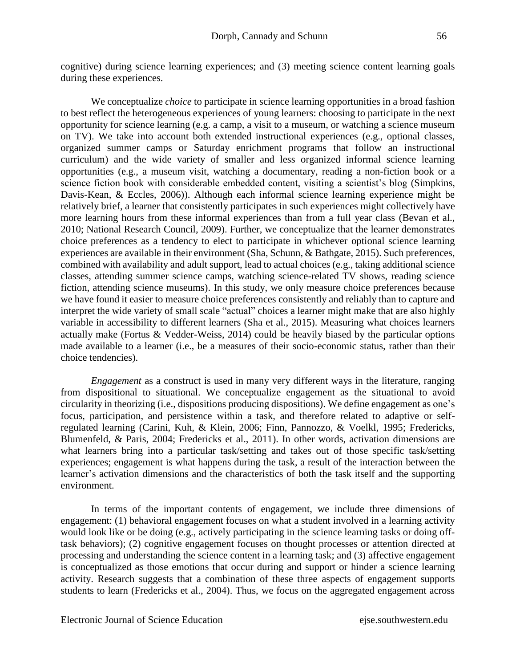cognitive) during science learning experiences; and (3) meeting science content learning goals during these experiences.

We conceptualize *choice* to participate in science learning opportunities in a broad fashion to best reflect the heterogeneous experiences of young learners: choosing to participate in the next opportunity for science learning (e.g. a camp, a visit to a museum, or watching a science museum on TV). We take into account both extended instructional experiences (e.g., optional classes, organized summer camps or Saturday enrichment programs that follow an instructional curriculum) and the wide variety of smaller and less organized informal science learning opportunities (e.g., a museum visit, watching a documentary, reading a non-fiction book or a science fiction book with considerable embedded content, visiting a scientist's blog (Simpkins, Davis-Kean, & Eccles, 2006)). Although each informal science learning experience might be relatively brief, a learner that consistently participates in such experiences might collectively have more learning hours from these informal experiences than from a full year class (Bevan et al., 2010; National Research Council, 2009). Further, we conceptualize that the learner demonstrates choice preferences as a tendency to elect to participate in whichever optional science learning experiences are available in their environment (Sha, Schunn, & Bathgate, 2015). Such preferences, combined with availability and adult support, lead to actual choices (e.g., taking additional science classes, attending summer science camps, watching science-related TV shows, reading science fiction, attending science museums). In this study, we only measure choice preferences because we have found it easier to measure choice preferences consistently and reliably than to capture and interpret the wide variety of small scale "actual" choices a learner might make that are also highly variable in accessibility to different learners (Sha et al., 2015). Measuring what choices learners actually make (Fortus & Vedder-Weiss, 2014) could be heavily biased by the particular options made available to a learner (i.e., be a measures of their socio-economic status, rather than their choice tendencies).

*Engagement* as a construct is used in many very different ways in the literature, ranging from dispositional to situational. We conceptualize engagement as the situational to avoid circularity in theorizing (i.e., dispositions producing dispositions). We define engagement as one's focus, participation, and persistence within a task, and therefore related to adaptive or selfregulated learning (Carini, Kuh, & Klein, 2006; Finn, Pannozzo, & Voelkl, 1995; Fredericks, Blumenfeld, & Paris, 2004; Fredericks et al., 2011). In other words, activation dimensions are what learners bring into a particular task/setting and takes out of those specific task/setting experiences; engagement is what happens during the task, a result of the interaction between the learner's activation dimensions and the characteristics of both the task itself and the supporting environment.

In terms of the important contents of engagement, we include three dimensions of engagement: (1) behavioral engagement focuses on what a student involved in a learning activity would look like or be doing (e.g., actively participating in the science learning tasks or doing offtask behaviors); (2) cognitive engagement focuses on thought processes or attention directed at processing and understanding the science content in a learning task; and (3) affective engagement is conceptualized as those emotions that occur during and support or hinder a science learning activity. Research suggests that a combination of these three aspects of engagement supports students to learn (Fredericks et al., 2004). Thus, we focus on the aggregated engagement across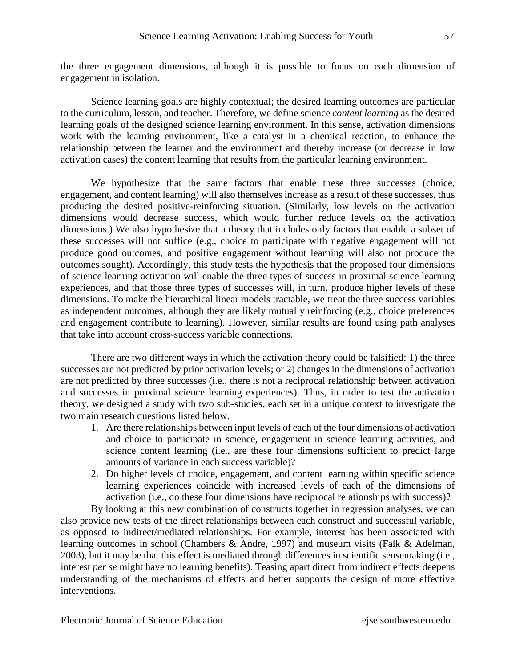the three engagement dimensions, although it is possible to focus on each dimension of engagement in isolation.

Science learning goals are highly contextual; the desired learning outcomes are particular to the curriculum, lesson, and teacher. Therefore, we define science *content learning* as the desired learning goals of the designed science learning environment. In this sense, activation dimensions work with the learning environment, like a catalyst in a chemical reaction, to enhance the relationship between the learner and the environment and thereby increase (or decrease in low activation cases) the content learning that results from the particular learning environment.

We hypothesize that the same factors that enable these three successes (choice, engagement, and content learning) will also themselves increase as a result of these successes, thus producing the desired positive-reinforcing situation. (Similarly, low levels on the activation dimensions would decrease success, which would further reduce levels on the activation dimensions.) We also hypothesize that a theory that includes only factors that enable a subset of these successes will not suffice (e.g., choice to participate with negative engagement will not produce good outcomes, and positive engagement without learning will also not produce the outcomes sought). Accordingly*,* this study tests the hypothesis that the proposed four dimensions of science learning activation will enable the three types of success in proximal science learning experiences, and that those three types of successes will, in turn, produce higher levels of these dimensions. To make the hierarchical linear models tractable, we treat the three success variables as independent outcomes, although they are likely mutually reinforcing (e.g., choice preferences and engagement contribute to learning). However, similar results are found using path analyses that take into account cross-success variable connections.

There are two different ways in which the activation theory could be falsified: 1) the three successes are not predicted by prior activation levels; or 2) changes in the dimensions of activation are not predicted by three successes (i.e., there is not a reciprocal relationship between activation and successes in proximal science learning experiences). Thus, in order to test the activation theory, we designed a study with two sub-studies, each set in a unique context to investigate the two main research questions listed below.

- 1. Are there relationships between input levels of each of the four dimensions of activation and choice to participate in science, engagement in science learning activities, and science content learning (i.e., are these four dimensions sufficient to predict large amounts of variance in each success variable)?
- 2. Do higher levels of choice, engagement, and content learning within specific science learning experiences coincide with increased levels of each of the dimensions of activation (i.e., do these four dimensions have reciprocal relationships with success)?

By looking at this new combination of constructs together in regression analyses, we can also provide new tests of the direct relationships between each construct and successful variable, as opposed to indirect/mediated relationships. For example, interest has been associated with learning outcomes in school (Chambers & Andre, 1997) and museum visits (Falk & Adelman, 2003), but it may be that this effect is mediated through differences in scientific sensemaking (i.e., interest *per se* might have no learning benefits). Teasing apart direct from indirect effects deepens understanding of the mechanisms of effects and better supports the design of more effective interventions.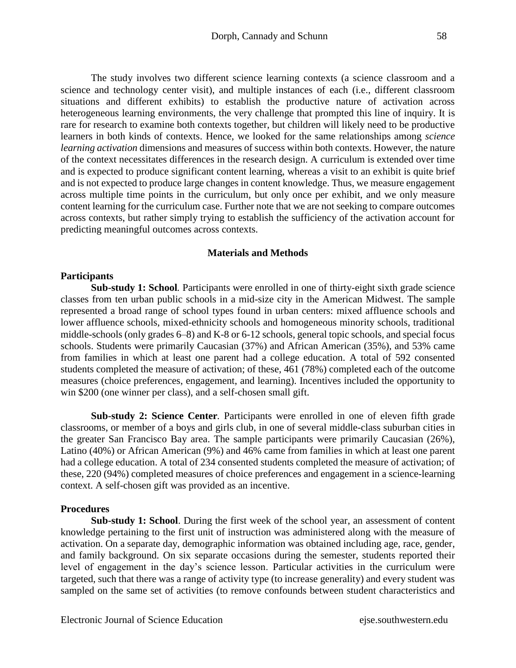The study involves two different science learning contexts (a science classroom and a science and technology center visit), and multiple instances of each (i.e., different classroom situations and different exhibits) to establish the productive nature of activation across heterogeneous learning environments, the very challenge that prompted this line of inquiry. It is rare for research to examine both contexts together, but children will likely need to be productive learners in both kinds of contexts. Hence, we looked for the same relationships among *science learning activation* dimensions and measures of success within both contexts. However, the nature of the context necessitates differences in the research design. A curriculum is extended over time and is expected to produce significant content learning, whereas a visit to an exhibit is quite brief and is not expected to produce large changes in content knowledge. Thus, we measure engagement across multiple time points in the curriculum, but only once per exhibit, and we only measure content learning for the curriculum case. Further note that we are not seeking to compare outcomes across contexts, but rather simply trying to establish the sufficiency of the activation account for predicting meaningful outcomes across contexts.

#### **Materials and Methods**

#### **Participants**

**Sub-study 1: School***.* Participants were enrolled in one of thirty-eight sixth grade science classes from ten urban public schools in a mid-size city in the American Midwest. The sample represented a broad range of school types found in urban centers: mixed affluence schools and lower affluence schools, mixed-ethnicity schools and homogeneous minority schools, traditional middle-schools (only grades 6–8) and K-8 or 6-12 schools, general topic schools, and special focus schools. Students were primarily Caucasian (37%) and African American (35%), and 53% came from families in which at least one parent had a college education. A total of 592 consented students completed the measure of activation; of these, 461 (78%) completed each of the outcome measures (choice preferences, engagement, and learning). Incentives included the opportunity to win \$200 (one winner per class), and a self-chosen small gift.

**Sub-study 2: Science Center***.* Participants were enrolled in one of eleven fifth grade classrooms, or member of a boys and girls club, in one of several middle-class suburban cities in the greater San Francisco Bay area. The sample participants were primarily Caucasian (26%), Latino (40%) or African American (9%) and 46% came from families in which at least one parent had a college education. A total of 234 consented students completed the measure of activation; of these, 220 (94%) completed measures of choice preferences and engagement in a science-learning context. A self-chosen gift was provided as an incentive.

#### **Procedures**

**Sub-study 1: School**. During the first week of the school year, an assessment of content knowledge pertaining to the first unit of instruction was administered along with the measure of activation. On a separate day, demographic information was obtained including age, race, gender, and family background. On six separate occasions during the semester, students reported their level of engagement in the day's science lesson. Particular activities in the curriculum were targeted, such that there was a range of activity type (to increase generality) and every student was sampled on the same set of activities (to remove confounds between student characteristics and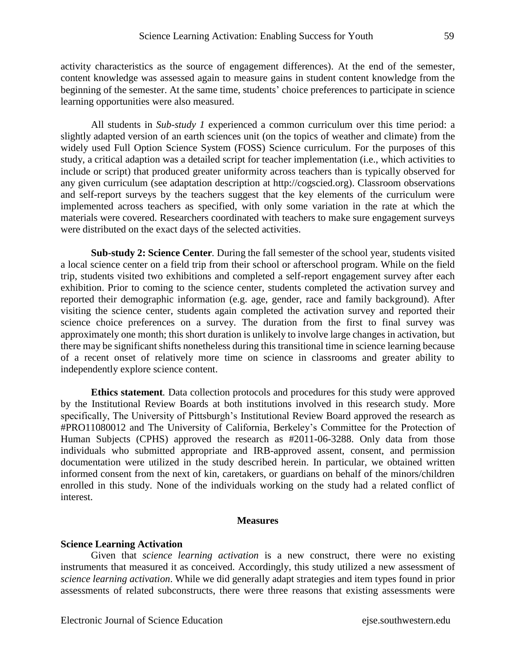activity characteristics as the source of engagement differences). At the end of the semester, content knowledge was assessed again to measure gains in student content knowledge from the beginning of the semester. At the same time, students' choice preferences to participate in science learning opportunities were also measured.

All students in *Sub-study 1* experienced a common curriculum over this time period: a slightly adapted version of an earth sciences unit (on the topics of weather and climate) from the widely used Full Option Science System (FOSS) Science curriculum. For the purposes of this study, a critical adaption was a detailed script for teacher implementation (i.e., which activities to include or script) that produced greater uniformity across teachers than is typically observed for any given curriculum (see adaptation description at http://cogscied.org). Classroom observations and self-report surveys by the teachers suggest that the key elements of the curriculum were implemented across teachers as specified, with only some variation in the rate at which the materials were covered. Researchers coordinated with teachers to make sure engagement surveys were distributed on the exact days of the selected activities.

**Sub-study 2: Science Center***.* During the fall semester of the school year, students visited a local science center on a field trip from their school or afterschool program. While on the field trip, students visited two exhibitions and completed a self-report engagement survey after each exhibition. Prior to coming to the science center, students completed the activation survey and reported their demographic information (e.g. age, gender, race and family background). After visiting the science center, students again completed the activation survey and reported their science choice preferences on a survey. The duration from the first to final survey was approximately one month; this short duration is unlikely to involve large changes in activation, but there may be significant shifts nonetheless during this transitional time in science learning because of a recent onset of relatively more time on science in classrooms and greater ability to independently explore science content.

**Ethics statement***.* Data collection protocols and procedures for this study were approved by the Institutional Review Boards at both institutions involved in this research study. More specifically, The University of Pittsburgh's Institutional Review Board approved the research as #PRO11080012 and The University of California, Berkeley's Committee for the Protection of Human Subjects (CPHS) approved the research as #2011-06-3288. Only data from those individuals who submitted appropriate and IRB-approved assent, consent, and permission documentation were utilized in the study described herein. In particular, we obtained written informed consent from the next of kin, caretakers, or guardians on behalf of the minors/children enrolled in this study. None of the individuals working on the study had a related conflict of interest.

#### **Measures**

#### **Science Learning Activation**

Given that *science learning activation* is a new construct, there were no existing instruments that measured it as conceived. Accordingly, this study utilized a new assessment of *science learning activation*. While we did generally adapt strategies and item types found in prior assessments of related subconstructs, there were three reasons that existing assessments were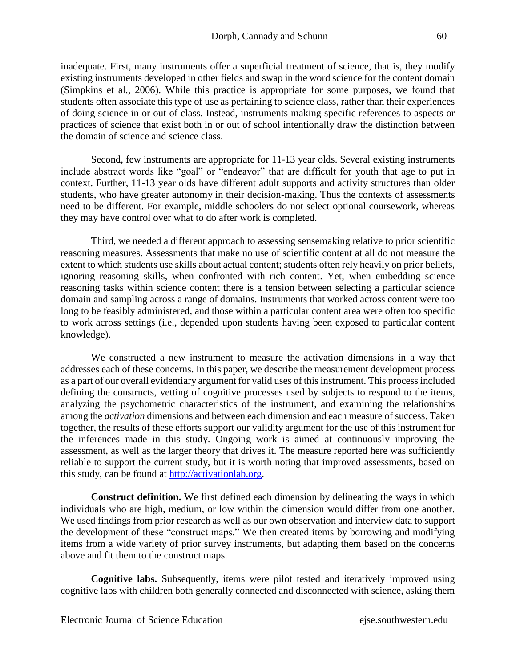inadequate. First, many instruments offer a superficial treatment of science, that is, they modify existing instruments developed in other fields and swap in the word science for the content domain (Simpkins et al., 2006). While this practice is appropriate for some purposes, we found that students often associate this type of use as pertaining to science class, rather than their experiences of doing science in or out of class. Instead, instruments making specific references to aspects or practices of science that exist both in or out of school intentionally draw the distinction between the domain of science and science class.

Second, few instruments are appropriate for 11-13 year olds. Several existing instruments include abstract words like "goal" or "endeavor" that are difficult for youth that age to put in context. Further, 11-13 year olds have different adult supports and activity structures than older students, who have greater autonomy in their decision-making. Thus the contexts of assessments need to be different. For example, middle schoolers do not select optional coursework, whereas they may have control over what to do after work is completed.

Third, we needed a different approach to assessing sensemaking relative to prior scientific reasoning measures. Assessments that make no use of scientific content at all do not measure the extent to which students use skills about actual content; students often rely heavily on prior beliefs, ignoring reasoning skills, when confronted with rich content. Yet, when embedding science reasoning tasks within science content there is a tension between selecting a particular science domain and sampling across a range of domains. Instruments that worked across content were too long to be feasibly administered, and those within a particular content area were often too specific to work across settings (i.e., depended upon students having been exposed to particular content knowledge).

We constructed a new instrument to measure the activation dimensions in a way that addresses each of these concerns. In this paper, we describe the measurement development process as a part of our overall evidentiary argument for valid uses of this instrument. This processincluded defining the constructs, vetting of cognitive processes used by subjects to respond to the items, analyzing the psychometric characteristics of the instrument, and examining the relationships among the *activation* dimensions and between each dimension and each measure of success. Taken together, the results of these efforts support our validity argument for the use of this instrument for the inferences made in this study. Ongoing work is aimed at continuously improving the assessment, as well as the larger theory that drives it. The measure reported here was sufficiently reliable to support the current study, but it is worth noting that improved assessments, based on this study, can be found at [http://activationlab.org.](http://activationlab.org/)

**Construct definition.** We first defined each dimension by delineating the ways in which individuals who are high, medium, or low within the dimension would differ from one another. We used findings from prior research as well as our own observation and interview data to support the development of these "construct maps." We then created items by borrowing and modifying items from a wide variety of prior survey instruments, but adapting them based on the concerns above and fit them to the construct maps.

**Cognitive labs.** Subsequently, items were pilot tested and iteratively improved using cognitive labs with children both generally connected and disconnected with science, asking them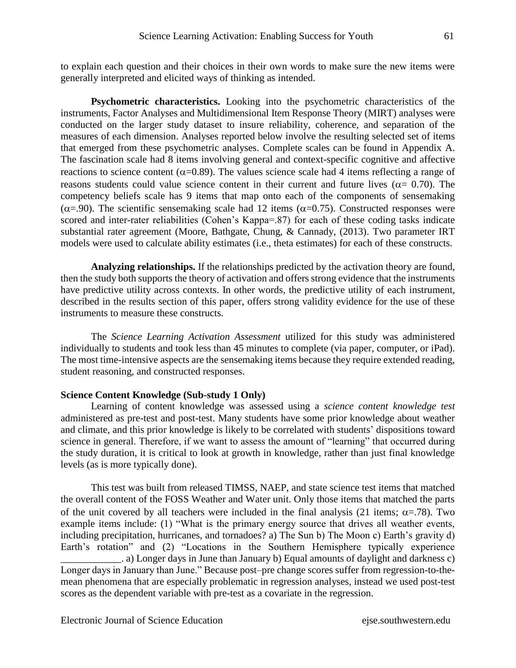to explain each question and their choices in their own words to make sure the new items were generally interpreted and elicited ways of thinking as intended.

**Psychometric characteristics.** Looking into the psychometric characteristics of the instruments, Factor Analyses and Multidimensional Item Response Theory (MIRT) analyses were conducted on the larger study dataset to insure reliability, coherence, and separation of the measures of each dimension. Analyses reported below involve the resulting selected set of items that emerged from these psychometric analyses. Complete scales can be found in Appendix A. The fascination scale had 8 items involving general and context-specific cognitive and affective reactions to science content ( $\alpha$ =0.89). The values science scale had 4 items reflecting a range of reasons students could value science content in their current and future lives ( $\alpha$  = 0.70). The competency beliefs scale has 9 items that map onto each of the components of sensemaking ( $\alpha$ =.90). The scientific sensemaking scale had 12 items ( $\alpha$ =0.75). Constructed responses were scored and inter-rater reliabilities (Cohen's Kappa=.87) for each of these coding tasks indicate substantial rater agreement (Moore, Bathgate, Chung, & Cannady, (2013). Two parameter IRT models were used to calculate ability estimates (i.e., theta estimates) for each of these constructs.

**Analyzing relationships.** If the relationships predicted by the activation theory are found, then the study both supports the theory of activation and offers strong evidence that the instruments have predictive utility across contexts. In other words, the predictive utility of each instrument, described in the results section of this paper, offers strong validity evidence for the use of these instruments to measure these constructs.

The *Science Learning Activation Assessment* utilized for this study was administered individually to students and took less than 45 minutes to complete (via paper, computer, or iPad). The most time-intensive aspects are the sensemaking items because they require extended reading, student reasoning, and constructed responses.

#### **Science Content Knowledge (Sub-study 1 Only)**

Learning of content knowledge was assessed using a *science content knowledge test* administered as pre-test and post-test. Many students have some prior knowledge about weather and climate, and this prior knowledge is likely to be correlated with students' dispositions toward science in general. Therefore, if we want to assess the amount of "learning" that occurred during the study duration, it is critical to look at growth in knowledge, rather than just final knowledge levels (as is more typically done).

This test was built from released TIMSS, NAEP, and state science test items that matched the overall content of the FOSS Weather and Water unit. Only those items that matched the parts of the unit covered by all teachers were included in the final analysis (21 items;  $\alpha = .78$ ). Two example items include: (1) "What is the primary energy source that drives all weather events, including precipitation, hurricanes, and tornadoes? a) The Sun b) The Moon c) Earth's gravity d) Earth's rotation" and (2) "Locations in the Southern Hemisphere typically experience \_\_\_\_\_\_\_\_\_\_\_\_. a) Longer days in June than January b) Equal amounts of daylight and darkness c) Longer days in January than June." Because post–pre change scores suffer from regression-to-themean phenomena that are especially problematic in regression analyses, instead we used post-test scores as the dependent variable with pre-test as a covariate in the regression.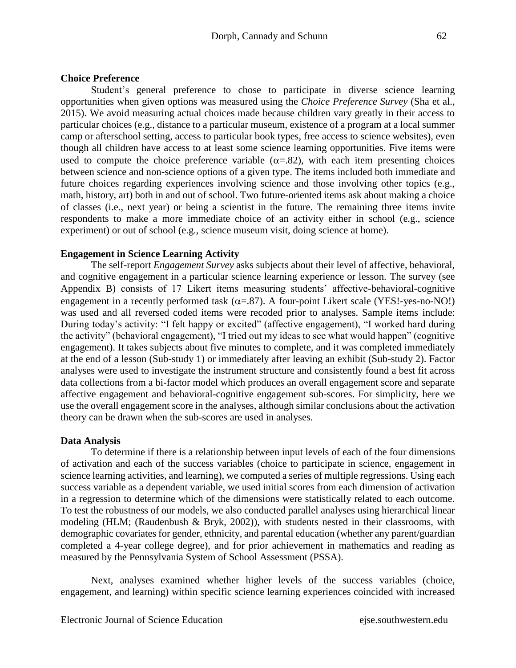#### **Choice Preference**

Student's general preference to chose to participate in diverse science learning opportunities when given options was measured using the *Choice Preference Survey* (Sha et al., 2015). We avoid measuring actual choices made because children vary greatly in their access to particular choices (e.g., distance to a particular museum, existence of a program at a local summer camp or afterschool setting, access to particular book types, free access to science websites), even though all children have access to at least some science learning opportunities. Five items were used to compute the choice preference variable  $(\alpha = .82)$ , with each item presenting choices between science and non-science options of a given type. The items included both immediate and future choices regarding experiences involving science and those involving other topics (e.g., math, history, art) both in and out of school. Two future-oriented items ask about making a choice of classes (i.e., next year) or being a scientist in the future. The remaining three items invite respondents to make a more immediate choice of an activity either in school (e.g., science experiment) or out of school (e.g., science museum visit, doing science at home).

#### **Engagement in Science Learning Activity**

The self-report *Engagement Survey* asks subjects about their level of affective, behavioral, and cognitive engagement in a particular science learning experience or lesson. The survey (see Appendix B) consists of 17 Likert items measuring students' affective-behavioral-cognitive engagement in a recently performed task  $(\alpha = .87)$ . A four-point Likert scale (YES!-yes-no-NO!) was used and all reversed coded items were recoded prior to analyses. Sample items include: During today's activity: "I felt happy or excited" (affective engagement), "I worked hard during the activity" (behavioral engagement), "I tried out my ideas to see what would happen" (cognitive engagement). It takes subjects about five minutes to complete, and it was completed immediately at the end of a lesson (Sub-study 1) or immediately after leaving an exhibit (Sub-study 2). Factor analyses were used to investigate the instrument structure and consistently found a best fit across data collections from a bi-factor model which produces an overall engagement score and separate affective engagement and behavioral-cognitive engagement sub-scores. For simplicity, here we use the overall engagement score in the analyses, although similar conclusions about the activation theory can be drawn when the sub-scores are used in analyses.

#### **Data Analysis**

To determine if there is a relationship between input levels of each of the four dimensions of activation and each of the success variables (choice to participate in science, engagement in science learning activities, and learning), we computed a series of multiple regressions. Using each success variable as a dependent variable, we used initial scores from each dimension of activation in a regression to determine which of the dimensions were statistically related to each outcome. To test the robustness of our models, we also conducted parallel analyses using hierarchical linear modeling (HLM; (Raudenbush & Bryk, 2002)), with students nested in their classrooms, with demographic covariates for gender, ethnicity, and parental education (whether any parent/guardian completed a 4-year college degree), and for prior achievement in mathematics and reading as measured by the Pennsylvania System of School Assessment (PSSA).

Next, analyses examined whether higher levels of the success variables (choice, engagement, and learning) within specific science learning experiences coincided with increased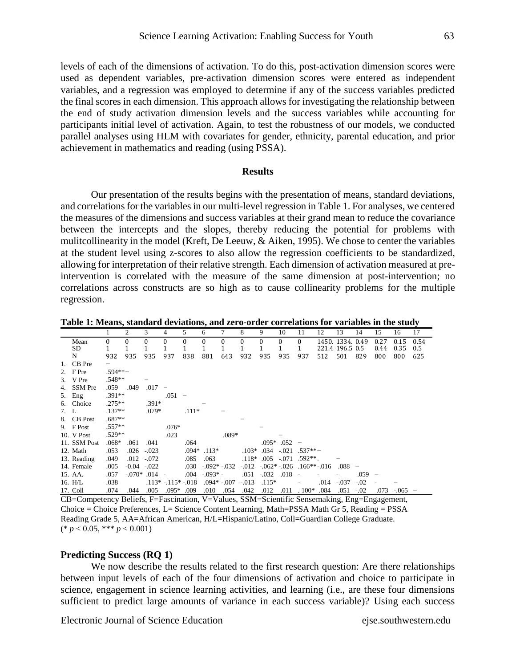levels of each of the dimensions of activation. To do this, post-activation dimension scores were used as dependent variables, pre-activation dimension scores were entered as independent variables, and a regression was employed to determine if any of the success variables predicted the final scores in each dimension. This approach allows for investigating the relationship between the end of study activation dimension levels and the success variables while accounting for participants initial level of activation. Again, to test the robustness of our models, we conducted parallel analyses using HLM with covariates for gender, ethnicity, parental education, and prior achievement in mathematics and reading (using PSSA).

#### **Results**

Our presentation of the results begins with the presentation of means, standard deviations, and correlations for the variables in our multi-level regression in Table 1. For analyses, we centered the measures of the dimensions and success variables at their grand mean to reduce the covariance between the intercepts and the slopes, thereby reducing the potential for problems with mulitcollinearity in the model (Kreft, De Leeuw, & Aiken, 1995). We chose to center the variables at the student level using z-scores to also allow the regression coefficients to be standardized, allowing for interpretation of their relative strength. Each dimension of activation measured at preintervention is correlated with the measure of the same dimension at post-intervention; no correlations across constructs are so high as to cause collinearity problems for the multiple regression.

**Table 1: Means, standard deviations, and zero-order correlations for variables in the study**

|      |                |           | $\overline{c}$  | 3               | 4                      | 5        | 6                   |          | 8        | 9                | 10           | 11                | 12   | 13               | 14                       | 15   | 16     | 17                       |
|------|----------------|-----------|-----------------|-----------------|------------------------|----------|---------------------|----------|----------|------------------|--------------|-------------------|------|------------------|--------------------------|------|--------|--------------------------|
|      | Mean           | 0         | $\theta$        | $\Omega$        | $\Omega$               | $\Omega$ | $\Omega$            | $\theta$ | $\theta$ | $\boldsymbol{0}$ | $\mathbf{0}$ | $\bf{0}$          |      | 1450, 1334, 0.49 |                          | 0.27 | 0.15   | 0.54                     |
|      | SD             |           |                 |                 |                        |          |                     |          | 1        | 1                | $\mathbf{1}$ | 1                 |      | 221.4 196.5 0.5  |                          | 0.44 | 0.35   | 0.5                      |
|      | N              | 932       | 935             | 935             | 937                    | 838      | 881                 | 643      | 932      | 935              | 935          | 937               | 512  | 501              | 829                      | 800  | 800    | 625                      |
|      | 1. CB Pre      |           |                 |                 |                        |          |                     |          |          |                  |              |                   |      |                  |                          |      |        |                          |
|      | 2. $F$ Pre     | $.594**-$ |                 |                 |                        |          |                     |          |          |                  |              |                   |      |                  |                          |      |        |                          |
|      | 3. V Pre       | $.548**$  |                 |                 |                        |          |                     |          |          |                  |              |                   |      |                  |                          |      |        |                          |
| 4.   | <b>SSM</b> Pre | .059      | .049            | .017            | -                      |          |                     |          |          |                  |              |                   |      |                  |                          |      |        |                          |
|      | $5.$ Eng       | $.391**$  |                 |                 | .051                   |          |                     |          |          |                  |              |                   |      |                  |                          |      |        |                          |
|      | 6. Choice      | $.275**$  |                 | $.391*$         |                        |          |                     |          |          |                  |              |                   |      |                  |                          |      |        |                          |
| 7. L |                | $.137**$  |                 | $.079*$         |                        | $.111*$  |                     |          |          |                  |              |                   |      |                  |                          |      |        |                          |
|      | 8. CB Post     | $.687**$  |                 |                 |                        |          |                     |          |          |                  |              |                   |      |                  |                          |      |        |                          |
|      | 9. F Post      | $.557**$  |                 |                 | $.076*$                |          |                     |          |          |                  |              |                   |      |                  |                          |      |        |                          |
|      | 10. V Post     | $.529**$  |                 |                 | .023                   |          |                     | .089*    |          |                  |              |                   |      |                  |                          |      |        |                          |
|      | 11. SSM Post   | $.068*$   | .061            | .041            |                        | .064     |                     |          |          |                  | $.095*$ .052 | $\qquad \qquad -$ |      |                  |                          |      |        |                          |
|      | 12. Math       | .053      | .026            | $-.023$         |                        |          | $.094*$ .113*       |          | $.103*$  | .034             |              | $-0.021$ .537**   |      |                  |                          |      |        |                          |
|      | 13. Reading    | .049      | .012            | $-.072$         |                        | .085     | .063                |          | $.118*$  | .005             |              | $-071$ .592**.    |      |                  |                          |      |        |                          |
|      | 14. Female     | .005      | $-0.04 - 0.022$ |                 |                        | .030     | $-0.092$ * $-0.032$ |          | $-0.012$ | $-0.062*-0.26$   |              | $.166***.016$     |      | .088             | $\overline{\phantom{a}}$ |      |        |                          |
|      | 15. AA.        | .057      |                 | $-.070*$ .014 - |                        |          | $.004 - .093* -$    |          | .051     | $-.032$          | .018         |                   |      |                  | .059                     |      |        |                          |
|      | 16. H/L        | .038      |                 |                 | $.113* - .115* - .018$ |          | $.094*-.007$        |          | $-.013$  | $.115*$          |              |                   | .014 | $-.037$          | $-.02$                   |      |        |                          |
|      | 17. Coll       | .074      | .044            | .005            | $.095*$ .009           |          | .010                | .054     | .042     | .012             | .011         | $.100*$           | .084 | .051             | $-.02$                   | .073 | $-065$ | $\overline{\phantom{m}}$ |

CB=Competency Beliefs, F=Fascination, V=Values, SSM=Scientific Sensemaking, Eng=Engagement, Choice = Choice Preferences, L= Science Content Learning, Math=PSSA Math Gr 5, Reading = PSSA Reading Grade 5, AA=African American, H/L=Hispanic/Latino, Coll=Guardian College Graduate. (\* *p* < 0.05, \*\*\* *p* < 0.001)

#### **Predicting Success (RQ 1)**

We now describe the results related to the first research question: Are there relationships between input levels of each of the four dimensions of activation and choice to participate in science, engagement in science learning activities, and learning (i.e., are these four dimensions sufficient to predict large amounts of variance in each success variable)? Using each success

Electronic Journal of Science Education ejse.southwestern.edu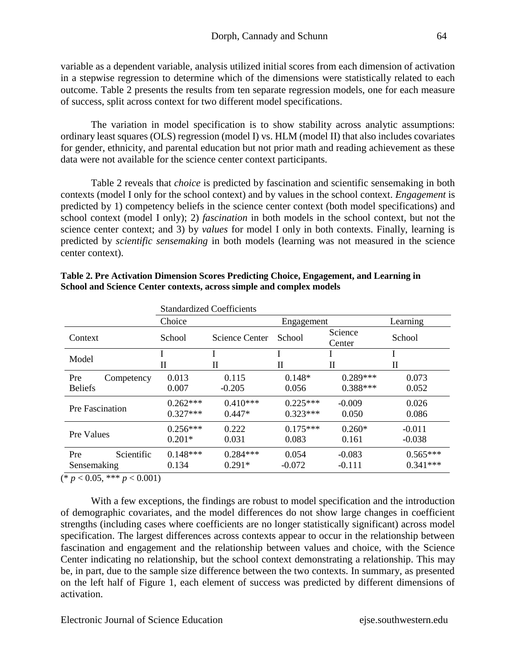variable as a dependent variable, analysis utilized initial scores from each dimension of activation in a stepwise regression to determine which of the dimensions were statistically related to each outcome. Table 2 presents the results from ten separate regression models, one for each measure of success, split across context for two different model specifications.

The variation in model specification is to show stability across analytic assumptions: ordinary least squares (OLS) regression (model I) vs. HLM (model II) that also includes covariates for gender, ethnicity, and parental education but not prior math and reading achievement as these data were not available for the science center context participants.

Table 2 reveals that *choice* is predicted by fascination and scientific sensemaking in both contexts (model I only for the school context) and by values in the school context. *Engagement* is predicted by 1) competency beliefs in the science center context (both model specifications) and school context (model I only); 2) *fascination* in both models in the school context, but not the science center context; and 3) by *values* for model I only in both contexts. Finally, learning is predicted by *scientific sensemaking* in both models (learning was not measured in the science center context).

|                 |            |            | <b>Standardized Coefficients</b> |            |                   |            |  |
|-----------------|------------|------------|----------------------------------|------------|-------------------|------------|--|
|                 |            | Choice     |                                  | Engagement |                   | Learning   |  |
| Context         |            | School     | Science Center                   | School     | Science<br>Center | School     |  |
| Model           |            |            |                                  |            |                   |            |  |
|                 |            | П          | П                                | П          | П                 | П          |  |
| Pre             | Competency | 0.013      | 0.115                            | $0.148*$   | $0.289***$        | 0.073      |  |
| <b>Beliefs</b>  |            | 0.007      | $-0.205$                         | 0.056      | $0.388***$        | 0.052      |  |
| Pre Fascination |            | $0.262***$ | $0.410***$                       | $0.225***$ | $-0.009$          | 0.026      |  |
|                 |            | $0.327***$ | $0.447*$                         | $0.323***$ | 0.050             | 0.086      |  |
| Pre Values      |            | $0.256***$ | 0.222                            | $0.175***$ | $0.260*$          | $-0.011$   |  |
|                 |            | $0.201*$   | 0.031                            | 0.083      | 0.161             | $-0.038$   |  |
| Pre             | Scientific | $0.148***$ | $0.284***$                       | 0.054      | $-0.083$          | $0.565***$ |  |
| Sensemaking     |            | 0.134      | $0.291*$                         | $-0.072$   | $-0.111$          | $0.341***$ |  |

| Table 2. Pre Activation Dimension Scores Predicting Choice, Engagement, and Learning in |
|-----------------------------------------------------------------------------------------|
| School and Science Center contexts, across simple and complex models                    |

 $(* p < 0.05, ** p < 0.001)$ 

With a few exceptions, the findings are robust to model specification and the introduction of demographic covariates, and the model differences do not show large changes in coefficient strengths (including cases where coefficients are no longer statistically significant) across model specification. The largest differences across contexts appear to occur in the relationship between fascination and engagement and the relationship between values and choice, with the Science Center indicating no relationship, but the school context demonstrating a relationship. This may be, in part, due to the sample size difference between the two contexts. In summary, as presented on the left half of Figure 1, each element of success was predicted by different dimensions of activation.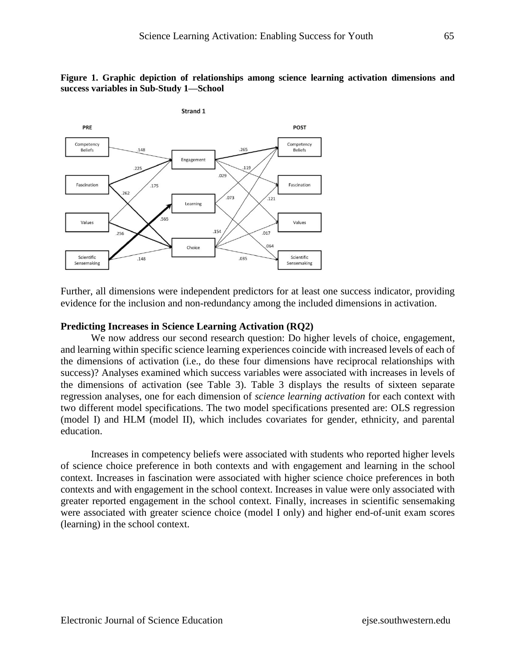#### **Figure 1. Graphic depiction of relationships among science learning activation dimensions and success variables in Sub-Study 1—School**



Further, all dimensions were independent predictors for at least one success indicator, providing evidence for the inclusion and non-redundancy among the included dimensions in activation.

#### **Predicting Increases in Science Learning Activation (RQ2)**

We now address our second research question: Do higher levels of choice, engagement, and learning within specific science learning experiences coincide with increased levels of each of the dimensions of activation (i.e., do these four dimensions have reciprocal relationships with success)? Analyses examined which success variables were associated with increases in levels of the dimensions of activation (see Table 3). Table 3 displays the results of sixteen separate regression analyses, one for each dimension of *science learning activation* for each context with two different model specifications. The two model specifications presented are: OLS regression (model I) and HLM (model II), which includes covariates for gender, ethnicity, and parental education.

Increases in competency beliefs were associated with students who reported higher levels of science choice preference in both contexts and with engagement and learning in the school context. Increases in fascination were associated with higher science choice preferences in both contexts and with engagement in the school context. Increases in value were only associated with greater reported engagement in the school context. Finally, increases in scientific sensemaking were associated with greater science choice (model I only) and higher end-of-unit exam scores (learning) in the school context.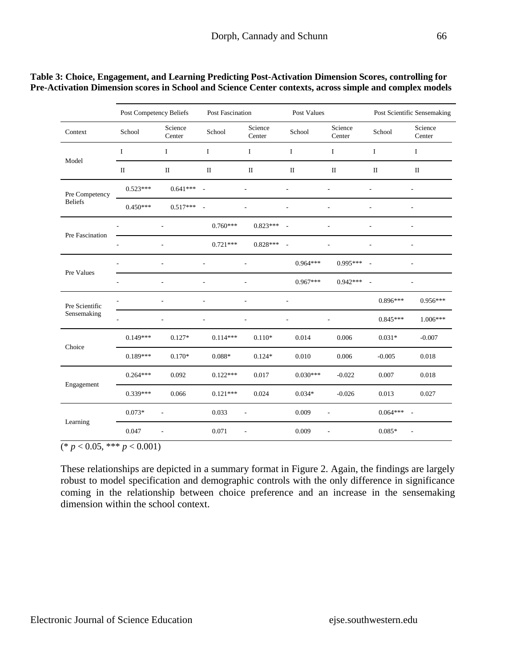|                 | Post Competency Beliefs |                   | Post Fascination |                   | Post Values |                   |                          | Post Scientific Sensemaking |
|-----------------|-------------------------|-------------------|------------------|-------------------|-------------|-------------------|--------------------------|-----------------------------|
| Context         | School                  | Science<br>Center | School           | Science<br>Center | School      | Science<br>Center | School                   | Science<br>Center           |
|                 | I                       | I                 | I                | I                 | I           | I                 | I                        | I                           |
| Model           | $\mathbf{I}$            | $\rm II$          | $\rm II$         | $\rm II$          | $\rm II$    | $\rm II$          | $\mathbf{I}$             | $\mathbf{I}$                |
| Pre Competency  | $0.523***$              | $0.641***$        | $\sim$           |                   |             |                   |                          | $\overline{\phantom{a}}$    |
| <b>Beliefs</b>  | $0.450***$              | $0.517***$        | $\sim$           |                   |             |                   |                          | $\overline{a}$              |
|                 |                         |                   | $0.760***$       | $0.823***$        | L,          |                   |                          | $\overline{a}$              |
| Pre Fascination |                         |                   | $0.721***$       | $0.828***$        |             |                   |                          | $\overline{a}$              |
|                 | ٠                       |                   |                  | ٠                 | $0.964***$  | $0.995***$        | $\overline{\phantom{a}}$ | $\overline{\phantom{a}}$    |
| Pre Values      |                         |                   |                  |                   | $0.967***$  | $0.942***$        | $\sim$                   |                             |
| Pre Scientific  |                         |                   |                  |                   | ٠           |                   | $0.896***$               | $0.956***$                  |
| Sensemaking     |                         |                   |                  |                   |             |                   | $0.845***$               | $1.006***$                  |
|                 | $0.149***$              | $0.127*$          | $0.114***$       | $0.110*$          | 0.014       | 0.006             | $0.031*$                 | $-0.007$                    |
| Choice          | $0.189***$              | $0.170*$          | $0.088*$         | $0.124*$          | 0.010       | 0.006             | $-0.005$                 | 0.018                       |
|                 | $0.264***$              | 0.092             | $0.122***$       | 0.017             | $0.030***$  | $-0.022$          | 0.007                    | 0.018                       |

#### **Table 3: Choice, Engagement, and Learning Predicting Post-Activation Dimension Scores, controlling for Pre-Activation Dimension scores in School and Science Center contexts, across simple and complex models**

 $(*) p < 0.05$ , \*\*\*  $p < 0.001$ 

Engagement

Learning

These relationships are depicted in a summary format in Figure 2. Again, the findings are largely robust to model specification and demographic controls with the only difference in significance coming in the relationship between choice preference and an increase in the sensemaking dimension within the school context.

0.339\*\*\* 0.066 0.121\*\*\* 0.024 0.034\* -0.026 0.013 0.027

 $0.073^*$  -  $0.033$  -  $0.009$  -  $0.064^{***}$  -

 $0.047$  -  $0.071$  -  $0.009$  -  $0.085^*$  -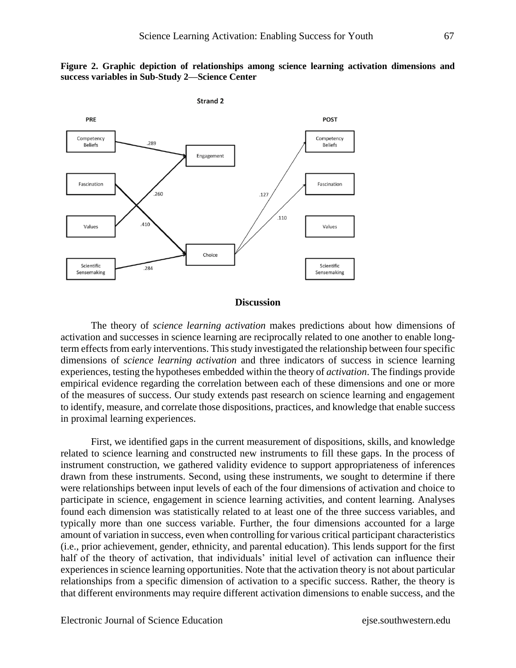



# **Discussion**

The theory of *science learning activation* makes predictions about how dimensions of activation and successes in science learning are reciprocally related to one another to enable longterm effects from early interventions. This study investigated the relationship between four specific dimensions of *science learning activation* and three indicators of success in science learning experiences, testing the hypotheses embedded within the theory of *activation*. The findings provide empirical evidence regarding the correlation between each of these dimensions and one or more of the measures of success. Our study extends past research on science learning and engagement to identify, measure, and correlate those dispositions, practices, and knowledge that enable success in proximal learning experiences.

First, we identified gaps in the current measurement of dispositions, skills, and knowledge related to science learning and constructed new instruments to fill these gaps. In the process of instrument construction, we gathered validity evidence to support appropriateness of inferences drawn from these instruments. Second, using these instruments, we sought to determine if there were relationships between input levels of each of the four dimensions of activation and choice to participate in science, engagement in science learning activities, and content learning. Analyses found each dimension was statistically related to at least one of the three success variables, and typically more than one success variable. Further, the four dimensions accounted for a large amount of variation in success, even when controlling for various critical participant characteristics (i.e., prior achievement, gender, ethnicity, and parental education). This lends support for the first half of the theory of activation, that individuals' initial level of activation can influence their experiences in science learning opportunities. Note that the activation theory is not about particular relationships from a specific dimension of activation to a specific success. Rather, the theory is that different environments may require different activation dimensions to enable success, and the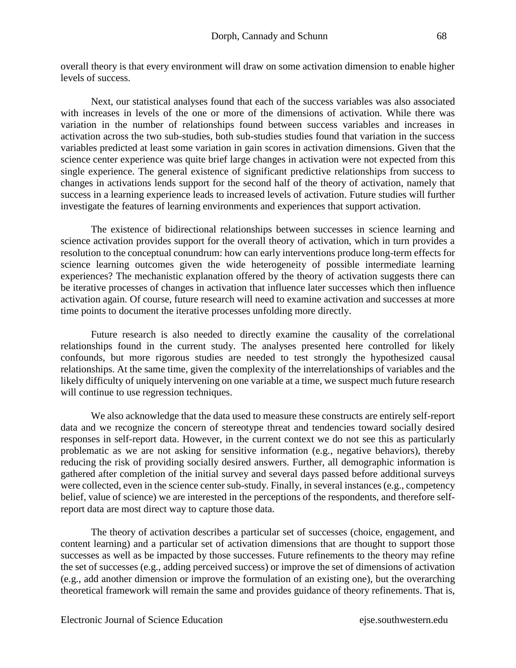Next, our statistical analyses found that each of the success variables was also associated with increases in levels of the one or more of the dimensions of activation. While there was variation in the number of relationships found between success variables and increases in activation across the two sub-studies, both sub-studies studies found that variation in the success variables predicted at least some variation in gain scores in activation dimensions. Given that the science center experience was quite brief large changes in activation were not expected from this single experience. The general existence of significant predictive relationships from success to changes in activations lends support for the second half of the theory of activation, namely that success in a learning experience leads to increased levels of activation. Future studies will further investigate the features of learning environments and experiences that support activation.

The existence of bidirectional relationships between successes in science learning and science activation provides support for the overall theory of activation, which in turn provides a resolution to the conceptual conundrum: how can early interventions produce long-term effects for science learning outcomes given the wide heterogeneity of possible intermediate learning experiences? The mechanistic explanation offered by the theory of activation suggests there can be iterative processes of changes in activation that influence later successes which then influence activation again. Of course, future research will need to examine activation and successes at more time points to document the iterative processes unfolding more directly.

Future research is also needed to directly examine the causality of the correlational relationships found in the current study. The analyses presented here controlled for likely confounds, but more rigorous studies are needed to test strongly the hypothesized causal relationships. At the same time, given the complexity of the interrelationships of variables and the likely difficulty of uniquely intervening on one variable at a time, we suspect much future research will continue to use regression techniques.

We also acknowledge that the data used to measure these constructs are entirely self-report data and we recognize the concern of stereotype threat and tendencies toward socially desired responses in self-report data. However, in the current context we do not see this as particularly problematic as we are not asking for sensitive information (e.g., negative behaviors), thereby reducing the risk of providing socially desired answers. Further, all demographic information is gathered after completion of the initial survey and several days passed before additional surveys were collected, even in the science center sub-study. Finally, in several instances (e.g., competency belief, value of science) we are interested in the perceptions of the respondents, and therefore selfreport data are most direct way to capture those data.

The theory of activation describes a particular set of successes (choice, engagement, and content learning) and a particular set of activation dimensions that are thought to support those successes as well as be impacted by those successes. Future refinements to the theory may refine the set of successes (e.g., adding perceived success) or improve the set of dimensions of activation (e.g., add another dimension or improve the formulation of an existing one), but the overarching theoretical framework will remain the same and provides guidance of theory refinements. That is,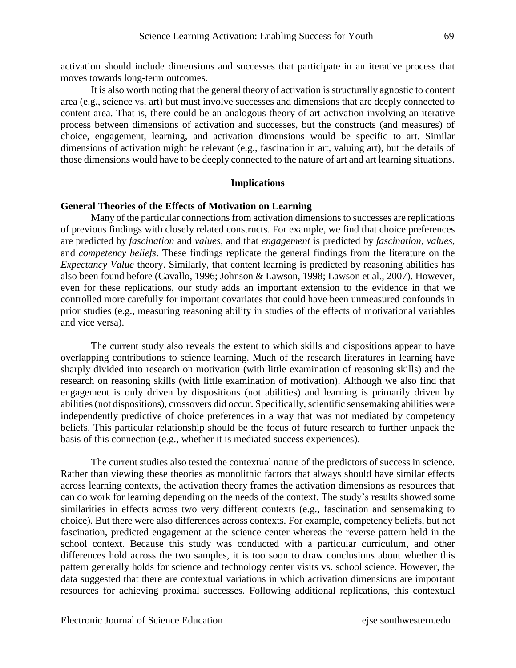activation should include dimensions and successes that participate in an iterative process that moves towards long-term outcomes.

It is also worth noting that the general theory of activation is structurally agnostic to content area (e.g., science vs. art) but must involve successes and dimensions that are deeply connected to content area. That is, there could be an analogous theory of art activation involving an iterative process between dimensions of activation and successes, but the constructs (and measures) of choice, engagement, learning, and activation dimensions would be specific to art. Similar dimensions of activation might be relevant (e.g., fascination in art, valuing art), but the details of those dimensions would have to be deeply connected to the nature of art and art learning situations.

#### **Implications**

#### **General Theories of the Effects of Motivation on Learning**

Many of the particular connections from activation dimensions to successes are replications of previous findings with closely related constructs. For example, we find that choice preferences are predicted by *fascination* and *values,* and that *engagement* is predicted by *fascination*, *values*, and *competency beliefs*. These findings replicate the general findings from the literature on the *Expectancy Value* theory. Similarly, that content learning is predicted by reasoning abilities has also been found before (Cavallo, 1996; Johnson & Lawson, 1998; Lawson et al., 2007). However, even for these replications, our study adds an important extension to the evidence in that we controlled more carefully for important covariates that could have been unmeasured confounds in prior studies (e.g., measuring reasoning ability in studies of the effects of motivational variables and vice versa).

The current study also reveals the extent to which skills and dispositions appear to have overlapping contributions to science learning. Much of the research literatures in learning have sharply divided into research on motivation (with little examination of reasoning skills) and the research on reasoning skills (with little examination of motivation). Although we also find that engagement is only driven by dispositions (not abilities) and learning is primarily driven by abilities (not dispositions), crossovers did occur. Specifically, scientific sensemaking abilities were independently predictive of choice preferences in a way that was not mediated by competency beliefs. This particular relationship should be the focus of future research to further unpack the basis of this connection (e.g., whether it is mediated success experiences).

The current studies also tested the contextual nature of the predictors of success in science. Rather than viewing these theories as monolithic factors that always should have similar effects across learning contexts, the activation theory frames the activation dimensions as resources that can do work for learning depending on the needs of the context. The study's results showed some similarities in effects across two very different contexts (e.g., fascination and sensemaking to choice). But there were also differences across contexts. For example, competency beliefs, but not fascination, predicted engagement at the science center whereas the reverse pattern held in the school context. Because this study was conducted with a particular curriculum, and other differences hold across the two samples, it is too soon to draw conclusions about whether this pattern generally holds for science and technology center visits vs. school science. However, the data suggested that there are contextual variations in which activation dimensions are important resources for achieving proximal successes. Following additional replications, this contextual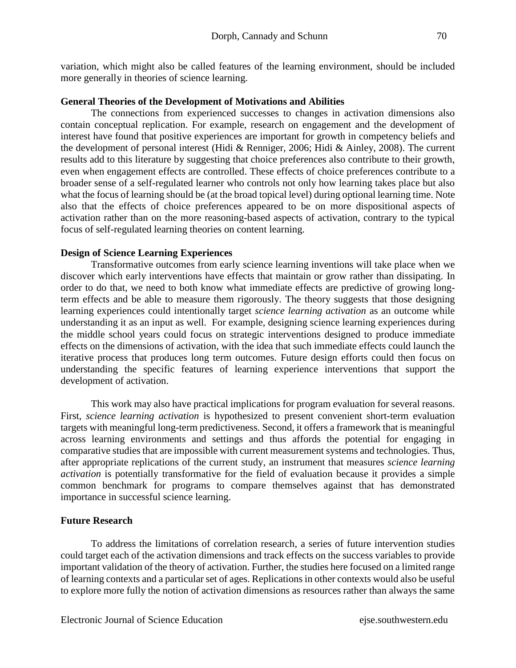variation, which might also be called features of the learning environment, should be included more generally in theories of science learning.

### **General Theories of the Development of Motivations and Abilities**

The connections from experienced successes to changes in activation dimensions also contain conceptual replication. For example, research on engagement and the development of interest have found that positive experiences are important for growth in competency beliefs and the development of personal interest (Hidi & Renniger, 2006; Hidi & Ainley, 2008). The current results add to this literature by suggesting that choice preferences also contribute to their growth, even when engagement effects are controlled. These effects of choice preferences contribute to a broader sense of a self-regulated learner who controls not only how learning takes place but also what the focus of learning should be (at the broad topical level) during optional learning time. Note also that the effects of choice preferences appeared to be on more dispositional aspects of activation rather than on the more reasoning-based aspects of activation, contrary to the typical focus of self-regulated learning theories on content learning.

### **Design of Science Learning Experiences**

Transformative outcomes from early science learning inventions will take place when we discover which early interventions have effects that maintain or grow rather than dissipating. In order to do that, we need to both know what immediate effects are predictive of growing longterm effects and be able to measure them rigorously. The theory suggests that those designing learning experiences could intentionally target *science learning activation* as an outcome while understanding it as an input as well. For example, designing science learning experiences during the middle school years could focus on strategic interventions designed to produce immediate effects on the dimensions of activation, with the idea that such immediate effects could launch the iterative process that produces long term outcomes. Future design efforts could then focus on understanding the specific features of learning experience interventions that support the development of activation.

This work may also have practical implications for program evaluation for several reasons. First, *science learning activation* is hypothesized to present convenient short-term evaluation targets with meaningful long-term predictiveness. Second, it offers a framework that is meaningful across learning environments and settings and thus affords the potential for engaging in comparative studies that are impossible with current measurement systems and technologies. Thus, after appropriate replications of the current study, an instrument that measures *science learning activation* is potentially transformative for the field of evaluation because it provides a simple common benchmark for programs to compare themselves against that has demonstrated importance in successful science learning.

#### **Future Research**

To address the limitations of correlation research, a series of future intervention studies could target each of the activation dimensions and track effects on the success variables to provide important validation of the theory of activation. Further, the studies here focused on a limited range of learning contexts and a particular set of ages. Replications in other contexts would also be useful to explore more fully the notion of activation dimensions as resources rather than always the same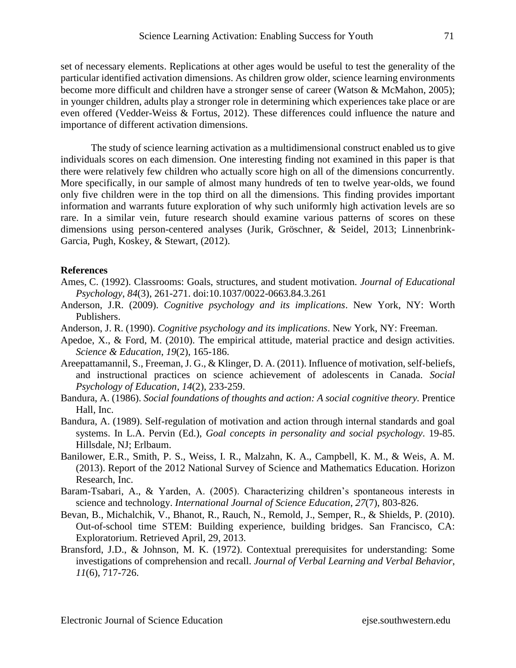set of necessary elements. Replications at other ages would be useful to test the generality of the particular identified activation dimensions. As children grow older, science learning environments become more difficult and children have a stronger sense of career (Watson & McMahon, 2005); in younger children, adults play a stronger role in determining which experiences take place or are even offered (Vedder-Weiss & Fortus, 2012). These differences could influence the nature and importance of different activation dimensions.

The study of science learning activation as a multidimensional construct enabled us to give individuals scores on each dimension. One interesting finding not examined in this paper is that there were relatively few children who actually score high on all of the dimensions concurrently. More specifically, in our sample of almost many hundreds of ten to twelve year-olds, we found only five children were in the top third on all the dimensions. This finding provides important information and warrants future exploration of why such uniformly high activation levels are so rare. In a similar vein, future research should examine various patterns of scores on these dimensions using person-centered analyses (Jurik, Gröschner, & Seidel, 2013; Linnenbrink-Garcia, Pugh, Koskey, & Stewart, (2012).

#### **References**

- Ames, C. (1992). Classrooms: Goals, structures, and student motivation. *Journal of Educational Psychology*, *84*(3), 261-271. doi:10.1037/0022-0663.84.3.261
- Anderson, J.R. (2009). *Cognitive psychology and its implications*. New York, NY: Worth Publishers.
- Anderson, J. R. (1990). *Cognitive psychology and its implications*. New York, NY: Freeman.
- Apedoe, X., & Ford, M. (2010). The empirical attitude, material practice and design activities. *Science & Education*, *19*(2), 165-186.
- Areepattamannil, S., Freeman, J. G., & Klinger, D. A. (2011). Influence of motivation, self-beliefs, and instructional practices on science achievement of adolescents in Canada. *Social Psychology of Education*, *14*(2), 233-259.
- Bandura, A. (1986). *Social foundations of thoughts and action: A social cognitive theory.* Prentice Hall, Inc.
- Bandura, A. (1989). Self-regulation of motivation and action through internal standards and goal systems. In L.A. Pervin (Ed.), *Goal concepts in personality and social psychology*. 19-85. Hillsdale, NJ; Erlbaum.
- Banilower, E.R., Smith, P. S., Weiss, I. R., Malzahn, K. A., Campbell, K. M., & Weis, A. M. (2013). Report of the 2012 National Survey of Science and Mathematics Education. Horizon Research, Inc.
- Baram-Tsabari, A., & Yarden, A. (2005). Characterizing children's spontaneous interests in science and technology. *International Journal of Science Education*, *27*(7), 803-826.
- Bevan, B., Michalchik, V., Bhanot, R., Rauch, N., Remold, J., Semper, R., & Shields, P. (2010). Out-of-school time STEM: Building experience, building bridges. San Francisco, CA: Exploratorium. Retrieved April, 29, 2013.
- Bransford, J.D., & Johnson, M. K. (1972). Contextual prerequisites for understanding: Some investigations of comprehension and recall. *Journal of Verbal Learning and Verbal Behavior*, *11*(6), 717-726.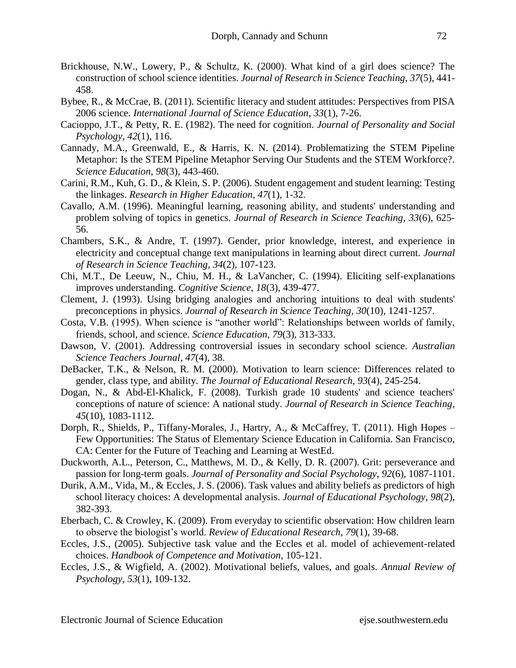- Brickhouse, N.W., Lowery, P., & Schultz, K. (2000). What kind of a girl does science? The construction of school science identities. *Journal of Research in Science Teaching*, *37*(5), 441- 458.
- Bybee, R., & McCrae, B. (2011). Scientific literacy and student attitudes: Perspectives from PISA 2006 science. *International Journal of Science Education*, *33*(1), 7-26.
- Cacioppo, J.T., & Petty, R. E. (1982). The need for cognition. *Journal of Personality and Social Psychology*, *42*(1), 116.
- Cannady, M.A., Greenwald, E., & Harris, K. N. (2014). Problematizing the STEM Pipeline Metaphor: Is the STEM Pipeline Metaphor Serving Our Students and the STEM Workforce?. *Science Education*, *98*(3), 443-460.
- Carini, R.M., Kuh, G. D., & Klein, S. P. (2006). Student engagement and student learning: Testing the linkages. *Research in Higher Education*, *47*(1), 1-32.
- Cavallo, A.M. (1996). Meaningful learning, reasoning ability, and students' understanding and problem solving of topics in genetics. *Journal of Research in Science Teaching*, *33*(6), 625- 56.
- Chambers, S.K., & Andre, T. (1997). Gender, prior knowledge, interest, and experience in electricity and conceptual change text manipulations in learning about direct current. *Journal of Research in Science Teaching*, *34*(2), 107-123.
- Chi, M.T., De Leeuw, N., Chiu, M. H., & LaVancher, C. (1994). Eliciting self-explanations improves understanding. *Cognitive Science*, *18*(3), 439-477.
- Clement, J. (1993). Using bridging analogies and anchoring intuitions to deal with students' preconceptions in physics. *Journal of Research in Science Teaching*, *30*(10), 1241-1257.
- Costa, V.B. (1995). When science is "another world": Relationships between worlds of family, friends, school, and science. *Science Education*, *79*(3), 313-333.
- Dawson, V. (2001). Addressing controversial issues in secondary school science. *Australian Science Teachers Journal*, *47*(4), 38.
- DeBacker, T.K., & Nelson, R. M. (2000). Motivation to learn science: Differences related to gender, class type, and ability. *The Journal of Educational Research*, *93*(4), 245-254.
- Dogan, N., & Abd-El-Khalick, F. (2008). Turkish grade 10 students' and science teachers' conceptions of nature of science: A national study. *Journal of Research in Science Teaching*, *45*(10), 1083-1112.
- Dorph, R., Shields, P., Tiffany-Morales, J., Hartry, A., & McCaffrey, T. (2011). High Hopes Few Opportunities: The Status of Elementar*y* Science Education in California. San Francisco, CA: Center for the Future of Teaching and Learning at WestEd.
- Duckworth, A.L., Peterson, C., Matthews, M. D., & Kelly, D. R. (2007). Grit: perseverance and passion for long-term goals. *Journal of Personality and Social Psychology*, *92*(6), 1087-1101.
- Durik, A.M., Vida, M., & Eccles, J. S. (2006). Task values and ability beliefs as predictors of high school literacy choices: A developmental analysis. *Journal of Educational Psychology*, *98*(2), 382-393.
- Eberbach, C. & Crowley, K. (2009). From everyday to scientific observation: How children learn to observe the biologist's world. *Review of Educational Research*, *79*(1), 39-68.
- Eccles, J.S., (2005). Subjective task value and the Eccles et al. model of achievement-related choices. *Handbook of Competence and Motivation*, 105-121.
- Eccles, J.S., & Wigfield, A. (2002). Motivational beliefs, values, and goals. *Annual Review of Psychology*, *53*(1), 109-132.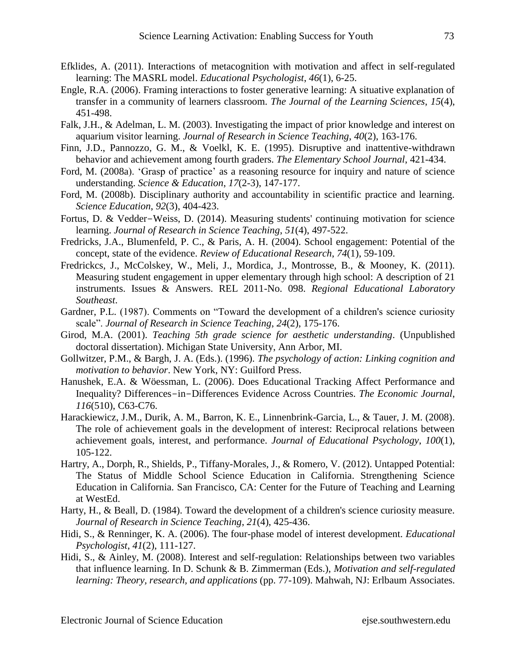- Efklides, A. (2011). Interactions of metacognition with motivation and affect in self-regulated learning: The MASRL model. *Educational Psychologist*, *46*(1), 6-25.
- Engle, R.A. (2006). Framing interactions to foster generative learning: A situative explanation of transfer in a community of learners classroom. *The Journal of the Learning Sciences*, *15*(4), 451-498.
- Falk, J.H., & Adelman, L. M. (2003). Investigating the impact of prior knowledge and interest on aquarium visitor learning. *Journal of Research in Science Teaching*, *40*(2), 163-176.
- Finn, J.D., Pannozzo, G. M., & Voelkl, K. E. (1995). Disruptive and inattentive-withdrawn behavior and achievement among fourth graders. *The Elementary School Journal*, 421-434.
- Ford, M. (2008a). 'Grasp of practice' as a reasoning resource for inquiry and nature of science understanding. *Science & Education*, *17*(2-3), 147-177.
- Ford, M. (2008b). Disciplinary authority and accountability in scientific practice and learning. *Science Education*, *92*(3), 404-423.
- Fortus, D. & Vedder-Weiss, D. (2014). Measuring students' continuing motivation for science learning. *Journal of Research in Science Teaching*, *51*(4), 497-522.
- Fredricks, J.A., Blumenfeld, P. C., & Paris, A. H. (2004). School engagement: Potential of the concept, state of the evidence. *Review of Educational Research*, *74*(1), 59-109.
- Fredrickcs, J., McColskey, W., Meli, J., Mordica, J., Montrosse, B., & Mooney, K. (2011). Measuring student engagement in upper elementary through high school: A description of 21 instruments. Issues & Answers. REL 2011-No. 098. *Regional Educational Laboratory Southeast*.
- Gardner, P.L. (1987). Comments on "Toward the development of a children's science curiosity scale". *Journal of Research in Science Teaching*, *24*(2), 175-176.
- Girod, M.A. (2001). *Teaching 5th grade science for aesthetic understanding*. (Unpublished doctoral dissertation). Michigan State University, Ann Arbor, MI.
- Gollwitzer, P.M., & Bargh, J. A. (Eds.). (1996). *The psychology of action: Linking cognition and motivation to behavior*. New York, NY: Guilford Press.
- Hanushek, E.A. & Wöessman, L. (2006). Does Educational Tracking Affect Performance and Inequality? Differences-in-Differences Evidence Across Countries. *The Economic Journal*, *116*(510), C63-C76.
- Harackiewicz, J.M., Durik, A. M., Barron, K. E., Linnenbrink-Garcia, L., & Tauer, J. M. (2008). The role of achievement goals in the development of interest: Reciprocal relations between achievement goals, interest, and performance. *Journal of Educational Psychology*, *100*(1), 105-122.
- Hartry, A., Dorph, R., Shields, P., Tiffany-Morales, J., & Romero, V. (2012). Untapped Potential: The Status of Middle School Science Education in California. Strengthening Science Education in California. San Francisco, CA: Center for the Future of Teaching and Learning at WestEd.
- Harty, H., & Beall, D. (1984). Toward the development of a children's science curiosity measure. *Journal of Research in Science Teaching*, *21*(4), 425-436.
- Hidi, S., & Renninger, K. A. (2006). The four-phase model of interest development. *Educational Psychologist*, *41*(2), 111-127.
- Hidi, S., & Ainley, M. (2008). Interest and self-regulation: Relationships between two variables that influence learning. In D. Schunk & B. Zimmerman (Eds.), *Motivation and self-regulated learning: Theory, research, and applications* (pp. 77-109). Mahwah, NJ: Erlbaum Associates.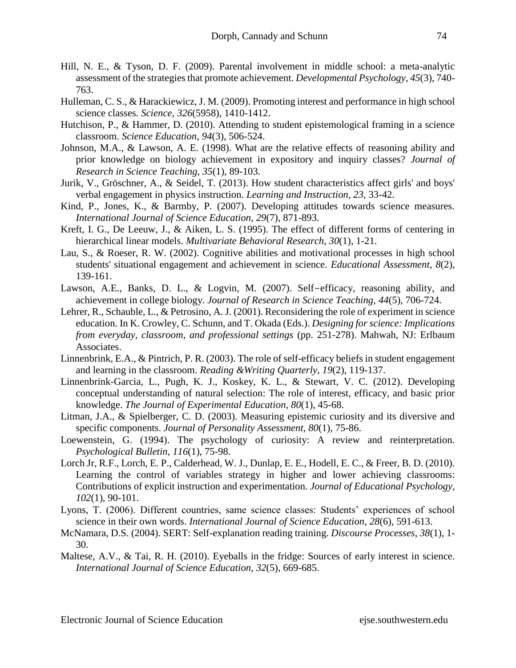- Hill, N. E., & Tyson, D. F. (2009). Parental involvement in middle school: a meta-analytic assessment of the strategies that promote achievement. *Developmental Psychology*, *45*(3), 740- 763.
- Hulleman, C. S., & Harackiewicz, J. M. (2009). Promoting interest and performance in high school science classes. *Science*, *326*(5958), 1410-1412.
- Hutchison, P., & Hammer, D. (2010). Attending to student epistemological framing in a science classroom. *Science Education*, *94*(3), 506-524.
- Johnson, M.A., & Lawson, A. E. (1998). What are the relative effects of reasoning ability and prior knowledge on biology achievement in expository and inquiry classes? *Journal of Research in Science Teaching*, *35*(1), 89-103.
- Jurik, V., Gröschner, A., & Seidel, T. (2013). How student characteristics affect girls' and boys' verbal engagement in physics instruction. *Learning and Instruction*, *23*, 33-42.
- Kind, P., Jones, K., & Barmby, P. (2007). Developing attitudes towards science measures. *International Journal of Science Education*, *29*(7), 871-893.
- Kreft, I. G., De Leeuw, J., & Aiken, L. S. (1995). The effect of different forms of centering in hierarchical linear models. *Multivariate Behavioral Research*, *30*(1), 1-21.
- Lau, S., & Roeser, R. W. (2002). Cognitive abilities and motivational processes in high school students' situational engagement and achievement in science. *Educational Assessment*, *8*(2), 139-161.
- Lawson, A.E., Banks, D. L., & Logvin, M. (2007). Self-efficacy, reasoning ability, and achievement in college biology. *Journal of Research in Science Teaching*, *44*(5), 706-724.
- Lehrer, R., Schauble, L., & Petrosino, A. J. (2001). Reconsidering the role of experiment in science education. In K. Crowley, C. Schunn, and T. Okada (Eds.). *Designing for science: Implications from everyday, classroom, and professional settings* (pp. 251-278). Mahwah, NJ: Erlbaum Associates.
- Linnenbrink, E.A., & Pintrich, P. R. (2003). The role of self-efficacy beliefs in student engagement and learning in the classroom. *Reading &Writing Quarterly*, *19*(2), 119-137.
- Linnenbrink-Garcia, L., Pugh, K. J., Koskey, K. L., & Stewart, V. C. (2012). Developing conceptual understanding of natural selection: The role of interest, efficacy, and basic prior knowledge. *The Journal of Experimental Education*, *80*(1), 45-68.
- Litman, J.A., & Spielberger, C. D. (2003). Measuring epistemic curiosity and its diversive and specific components. *Journal of Personality Assessment*, *80*(1), 75-86.
- Loewenstein, G. (1994). The psychology of curiosity: A review and reinterpretation. *Psychological Bulletin*, *116*(1), 75-98.
- Lorch Jr, R.F., Lorch, E. P., Calderhead, W. J., Dunlap, E. E., Hodell, E. C., & Freer, B. D. (2010). Learning the control of variables strategy in higher and lower achieving classrooms: Contributions of explicit instruction and experimentation. *Journal of Educational Psychology*, *102*(1), 90-101.
- Lyons, T. (2006). Different countries, same science classes: Students' experiences of school science in their own words. *International Journal of Science Education*, *28*(6), 591-613.
- McNamara, D.S. (2004). SERT: Self-explanation reading training. *Discourse Processes*, *38*(1), 1- 30.
- Maltese, A.V., & Tai, R. H. (2010). Eyeballs in the fridge: Sources of early interest in science. *International Journal of Science Education*, *32*(5), 669-685.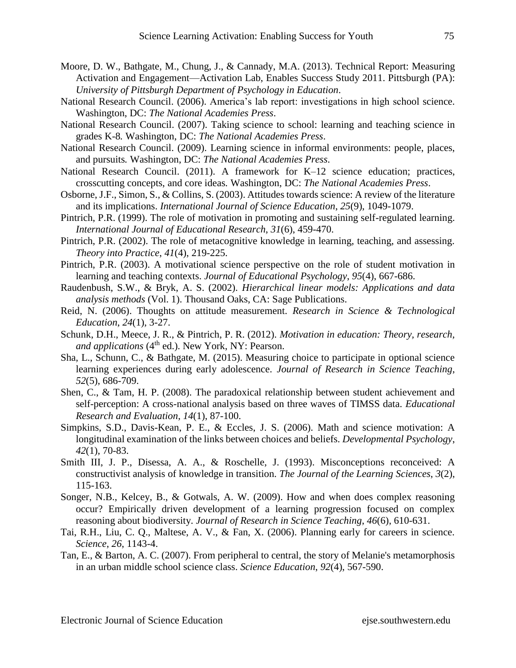- Moore, D. W., Bathgate, M., Chung, J., & Cannady, M.A. (2013). Technical Report: Measuring Activation and Engagement—Activation Lab, Enables Success Study 2011. Pittsburgh (PA): *University of Pittsburgh Department of Psychology in Education*.
- National Research Council. (2006). America's lab report: investigations in high school science. Washington, DC: *The National Academies Press*.
- National Research Council. (2007). Taking science to school: learning and teaching science in grades K-8*.* Washington, DC: *The National Academies Press*.
- National Research Council. (2009). Learning science in informal environments: people, places, and pursuits*.* Washington, DC: *The National Academies Press*.
- National Research Council. (2011). A framework for K–12 science education; practices, crosscutting concepts, and core ideas*.* Washington, DC: *The National Academies Press*.
- Osborne, J.F., Simon, S., & Collins, S. (2003). Attitudes towards science: A review of the literature and its implications. *International Journal of Science Education*, *25*(9), 1049-1079.
- Pintrich, P.R. (1999). The role of motivation in promoting and sustaining self-regulated learning. *International Journal of Educational Research*, *31*(6), 459-470.
- Pintrich, P.R. (2002). The role of metacognitive knowledge in learning, teaching, and assessing. *Theory into Practice*, *41*(4), 219-225.
- Pintrich, P.R. (2003). A motivational science perspective on the role of student motivation in learning and teaching contexts. *Journal of Educational Psychology*, *95*(4), 667-686.
- Raudenbush, S.W., & Bryk, A. S. (2002). *Hierarchical linear models: Applications and data analysis methods* (Vol. 1). Thousand Oaks, CA: Sage Publications.
- Reid, N. (2006). Thoughts on attitude measurement. *Research in Science & Technological Education*, *24*(1), 3-27.
- Schunk, D.H., Meece, J. R., & Pintrich, P. R. (2012). *Motivation in education: Theory, research, and applications* (4<sup>th</sup> ed.). New York, NY: Pearson.
- Sha, L., Schunn, C., & Bathgate, M. (2015). Measuring choice to participate in optional science learning experiences during early adolescence. *Journal of Research in Science Teaching*, *52*(5), 686-709.
- Shen, C., & Tam, H. P. (2008). The paradoxical relationship between student achievement and self-perception: A cross-national analysis based on three waves of TIMSS data. *Educational Research and Evaluation*, *14*(1), 87-100.
- Simpkins, S.D., Davis-Kean, P. E., & Eccles, J. S. (2006). Math and science motivation: A longitudinal examination of the links between choices and beliefs. *Developmental Psychology*, *42*(1), 70-83.
- Smith III, J. P., Disessa, A. A., & Roschelle, J. (1993). Misconceptions reconceived: A constructivist analysis of knowledge in transition. *The Journal of the Learning Sciences*, *3*(2), 115-163.
- Songer, N.B., Kelcey, B., & Gotwals, A. W. (2009). How and when does complex reasoning occur? Empirically driven development of a learning progression focused on complex reasoning about biodiversity. *Journal of Research in Science Teaching*, *46*(6), 610-631.
- Tai, R.H., Liu, C. Q., Maltese, A. V., & Fan, X. (2006). Planning early for careers in science. *Science*, *26*, 1143-4.
- Tan, E., & Barton, A. C. (2007). From peripheral to central, the story of Melanie's metamorphosis in an urban middle school science class. *Science Education*, *92*(4), 567-590.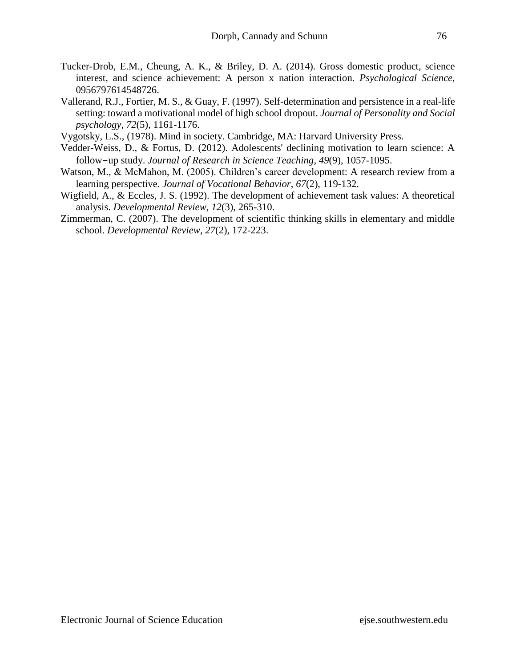- Tucker-Drob, E.M., Cheung, A. K., & Briley, D. A. (2014). Gross domestic product, science interest, and science achievement: A person x nation interaction. *Psychological Science*, 0956797614548726.
- Vallerand, R.J., Fortier, M. S., & Guay, F. (1997). Self-determination and persistence in a real-life setting: toward a motivational model of high school dropout. *Journal of Personality and Social psychology*, *72*(5), 1161-1176.
- Vygotsky, L.S., (1978). Mind in society. Cambridge, MA: Harvard University Press.
- Vedder-Weiss, D., & Fortus, D. (2012). Adolescents' declining motivation to learn science: A follow-up study. *Journal of Research in Science Teaching*, *49*(9), 1057-1095.
- Watson, M., & McMahon, M. (2005). Children's career development: A research review from a learning perspective. *Journal of Vocational Behavior*, *67*(2), 119-132.
- Wigfield, A., & Eccles, J. S. (1992). The development of achievement task values: A theoretical analysis. *Developmental Review*, *12*(3), 265-310.
- Zimmerman, C. (2007). The development of scientific thinking skills in elementary and middle school. *Developmental Review*, *27*(2), 172-223.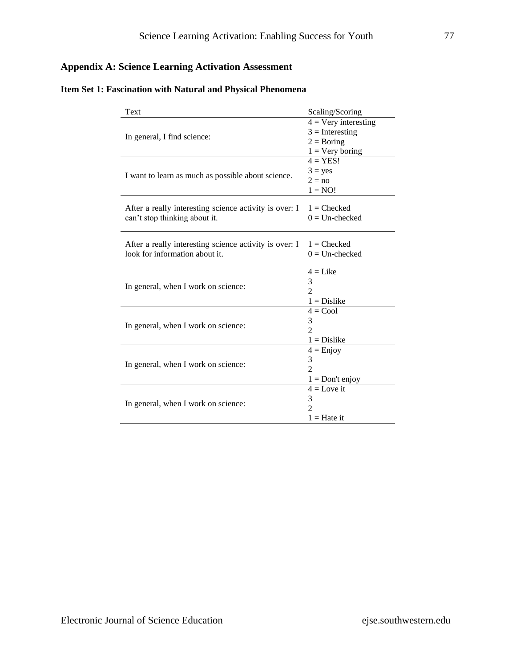## **Appendix A: Science Learning Activation Assessment**

|  |  | Item Set 1: Fascination with Natural and Physical Phenomena |  |  |  |  |  |
|--|--|-------------------------------------------------------------|--|--|--|--|--|
|--|--|-------------------------------------------------------------|--|--|--|--|--|

| Text                                                   | Scaling/Scoring               |
|--------------------------------------------------------|-------------------------------|
|                                                        | $4 = \text{Very interesting}$ |
|                                                        | $3 =$ Interesting             |
| In general, I find science:                            | $2 = Boring$                  |
|                                                        | $1 = \text{Very boring}$      |
|                                                        | $4 = YES!$                    |
|                                                        | $3 = yes$                     |
| I want to learn as much as possible about science.     | $2 = no$                      |
|                                                        | $1 = NO!$                     |
|                                                        |                               |
| After a really interesting science activity is over: I | $1 =$ Checked                 |
| can't stop thinking about it.                          | $0 =$ Un-checked              |
|                                                        |                               |
| After a really interesting science activity is over: I | $1 =$ Checked                 |
| look for information about it.                         | $0 =$ Un-checked              |
|                                                        |                               |
|                                                        | $4 =$ Like                    |
|                                                        | 3                             |
| In general, when I work on science:                    | $\overline{2}$                |
|                                                        | $1 = Distike$                 |
|                                                        | $4 = Cool$                    |
|                                                        | 3                             |
| In general, when I work on science:                    | $\mathfrak{D}$                |
|                                                        | $1 = Distike$                 |
|                                                        | $4 =$ Enjoy                   |
| In general, when I work on science:                    | 3                             |
|                                                        | $\mathfrak{D}$                |
|                                                        | $1 = Don't enjoy$             |
|                                                        | $4 =$ Love it                 |
|                                                        | 3                             |
| In general, when I work on science:                    | $\mathfrak{D}$                |
|                                                        | $1 =$ Hate it                 |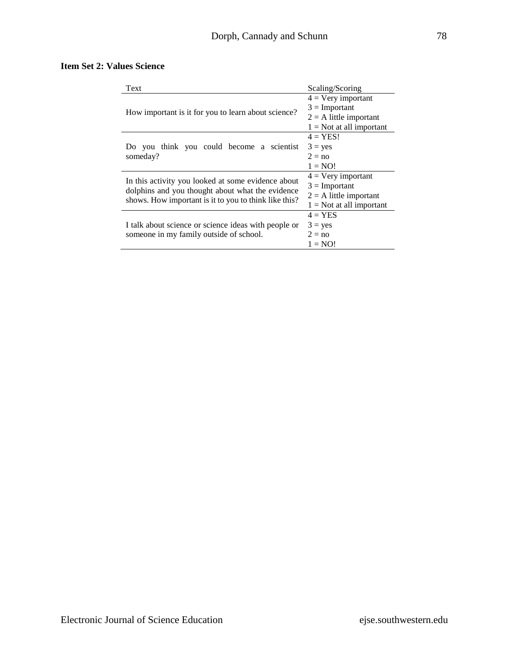#### **Item Set 2: Values Science**

| Text                                                  | Scaling/Scoring             |
|-------------------------------------------------------|-----------------------------|
|                                                       | $4 = \text{Very important}$ |
| How important is it for you to learn about science?   | $3 =$ Important             |
|                                                       | $2 = A$ little important    |
|                                                       | $1 = Not$ at all important  |
|                                                       | $4 = YES!$                  |
| Do you think you could become a scientist             | $3 = yes$                   |
| someday?                                              | $2 = no$                    |
|                                                       | $1 = NO!$                   |
| In this activity you looked at some evidence about    | $4 = \text{Very important}$ |
| dolphins and you thought about what the evidence      | $3 =$ Important             |
|                                                       | $2 = A$ little important    |
| shows. How important is it to you to think like this? | $1 = Not$ at all important  |
|                                                       | $4 = YES$                   |
| I talk about science or science ideas with people or  | $3 = yes$                   |
| someone in my family outside of school.               | $2 = no$                    |
|                                                       | $1 = NO!$                   |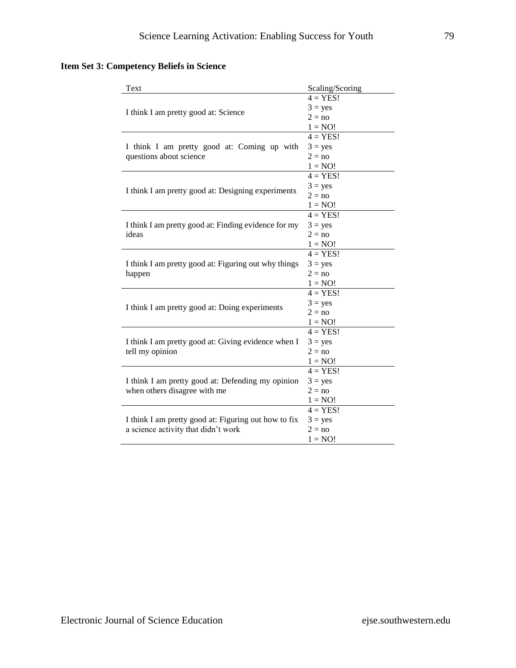## **Item Set 3: Competency Beliefs in Science**

| Text                                                 | Scaling/Scoring |
|------------------------------------------------------|-----------------|
|                                                      | $4 = YES!$      |
|                                                      | $3 = yes$       |
| I think I am pretty good at: Science                 | $2 = no$        |
|                                                      | $1 = NO!$       |
|                                                      | $4 = YES!$      |
| I think I am pretty good at: Coming up with          | $3 = yes$       |
| questions about science                              | $2 = no$        |
|                                                      | $1 = NO!$       |
|                                                      | $4 = YES!$      |
|                                                      | $3 = yes$       |
| I think I am pretty good at: Designing experiments   | $2 = no$        |
|                                                      | $1 = NO!$       |
|                                                      | $4 = YES!$      |
| I think I am pretty good at: Finding evidence for my | $3 = yes$       |
| ideas                                                | $2 = no$        |
|                                                      | $1 = NO!$       |
|                                                      | $4 = YES!$      |
| I think I am pretty good at: Figuring out why things | $3 = yes$       |
| happen                                               | $2 = no$        |
|                                                      | $1 = NO!$       |
|                                                      | $4 = YES!$      |
|                                                      | $3 = yes$       |
| I think I am pretty good at: Doing experiments       | $2 = no$        |
|                                                      | $1 = NO!$       |
|                                                      | $4 = YES!$      |
| I think I am pretty good at: Giving evidence when I  | $3 = yes$       |
| tell my opinion                                      | $2 = no$        |
|                                                      | $1 = NO!$       |
|                                                      | $4 = YES!$      |
| I think I am pretty good at: Defending my opinion    | $3 = yes$       |
| when others disagree with me                         | $2 = no$        |
|                                                      | $1 = NO!$       |
|                                                      | $4 = YES!$      |
| I think I am pretty good at: Figuring out how to fix | $3 = yes$       |
| a science activity that didn't work                  | $2 = no$        |
|                                                      | $1 = NO!$       |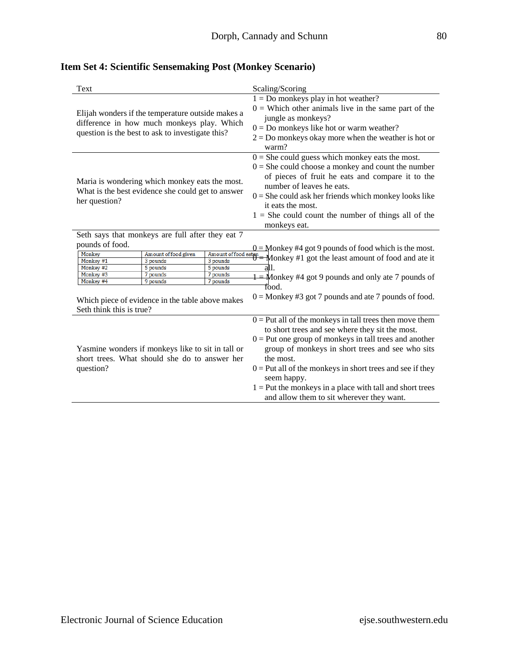| Text                                                       |                                                                                                                                                     | Scaling/Scoring                                                                                                                                                                                                                                                                                                                                                                                                                    |  |  |  |  |
|------------------------------------------------------------|-----------------------------------------------------------------------------------------------------------------------------------------------------|------------------------------------------------------------------------------------------------------------------------------------------------------------------------------------------------------------------------------------------------------------------------------------------------------------------------------------------------------------------------------------------------------------------------------------|--|--|--|--|
|                                                            | Elijah wonders if the temperature outside makes a<br>difference in how much monkeys play. Which<br>question is the best to ask to investigate this? | $1 = Do$ monkeys play in hot weather?<br>$0 =$ Which other animals live in the same part of the<br>jungle as monkeys?<br>$0 = Do$ monkeys like hot or warm weather?<br>$2 = Do$ monkeys okay more when the weather is hot or<br>warm?                                                                                                                                                                                              |  |  |  |  |
| her question?                                              | Maria is wondering which monkey eats the most.<br>What is the best evidence she could get to answer                                                 | $0 =$ She could guess which monkey eats the most.<br>$0 =$ She could choose a monkey and count the number<br>of pieces of fruit he eats and compare it to the<br>number of leaves he eats.<br>$0 =$ She could ask her friends which monkey looks like<br>it eats the most.<br>$1 =$ She could count the number of things all of the<br>monkeys eat.                                                                                |  |  |  |  |
|                                                            | Seth says that monkeys are full after they eat 7                                                                                                    |                                                                                                                                                                                                                                                                                                                                                                                                                                    |  |  |  |  |
| pounds of food.                                            |                                                                                                                                                     |                                                                                                                                                                                                                                                                                                                                                                                                                                    |  |  |  |  |
| Monkey<br>Monkey #1<br>Monkey #2<br>Monkey #3<br>Monkey #4 | Amount of food given<br>3 pounds<br>5 pounds<br>5 pounds<br>7 pounds<br>7 pounds<br>9 pounds<br>7 pounds                                            | $0 =$ Monkey #4 got 9 pounds of food which is the most.<br>$\frac{\frac{1}{2} \text{amount of food eaten}}{\frac{1}{2} \text{ months}}$ $\frac{0}{0}$ = Monkey #1 got the least amount of food and ate it<br>all1.<br>$\frac{1}{1}$ Monkey #4 got 9 pounds and only ate 7 pounds of                                                                                                                                                |  |  |  |  |
| Seth think this is true?                                   | Which piece of evidence in the table above makes                                                                                                    | Tood.<br>$0 =$ Monkey #3 got 7 pounds and ate 7 pounds of food.                                                                                                                                                                                                                                                                                                                                                                    |  |  |  |  |
| question?                                                  | Yasmine wonders if monkeys like to sit in tall or<br>short trees. What should she do to answer her                                                  | $0 =$ Put all of the monkeys in tall trees then move them<br>to short trees and see where they sit the most.<br>$0 =$ Put one group of monkeys in tall trees and another<br>group of monkeys in short trees and see who sits<br>the most.<br>$0 =$ Put all of the monkeys in short trees and see if they<br>seem happy.<br>$1 =$ Put the monkeys in a place with tall and short trees<br>and allow them to sit wherever they want. |  |  |  |  |

# **Item Set 4: Scientific Sensemaking Post (Monkey Scenario)**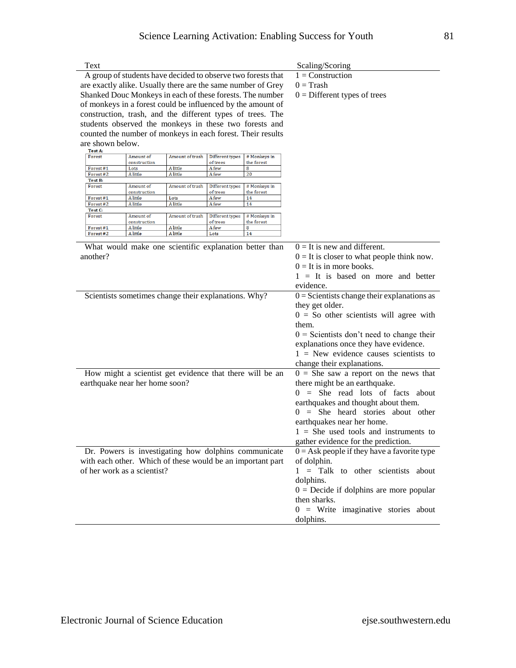|                      |                                |                                                              |                                                      |                                | Scaling/Scoring                                    |  |  |  |
|----------------------|--------------------------------|--------------------------------------------------------------|------------------------------------------------------|--------------------------------|----------------------------------------------------|--|--|--|
|                      |                                | A group of students have decided to observe two forests that |                                                      | $1 =$ Construction             |                                                    |  |  |  |
|                      |                                | are exactly alike. Usually there are the same number of Grey |                                                      | $0 =$ Trash                    |                                                    |  |  |  |
|                      |                                | Shanked Douc Monkeys in each of these forests. The number    |                                                      | $0 =$ Different types of trees |                                                    |  |  |  |
|                      |                                | of monkeys in a forest could be influenced by the amount of  |                                                      |                                |                                                    |  |  |  |
|                      |                                | construction, trash, and the different types of trees. The   |                                                      |                                |                                                    |  |  |  |
|                      |                                | students observed the monkeys in these two forests and       |                                                      |                                |                                                    |  |  |  |
|                      |                                | counted the number of monkeys in each forest. Their results  |                                                      |                                |                                                    |  |  |  |
| are shown below.     |                                |                                                              |                                                      |                                |                                                    |  |  |  |
| Test A:              |                                |                                                              |                                                      |                                |                                                    |  |  |  |
| Forest               | Amount of                      | Amount of trash                                              | Different types<br>of trees                          | # Monkeys in                   |                                                    |  |  |  |
| Forest#1             | construction<br>Lots           | A little                                                     | A few                                                | the forest<br>8                |                                                    |  |  |  |
| Forest#2             | A little                       | A little                                                     | A few                                                | 20                             |                                                    |  |  |  |
| Test B:<br>Forest    | Amount of                      | Amount of trash                                              | Different types                                      | # Monkeys in                   |                                                    |  |  |  |
|                      | construction                   |                                                              | of trees                                             | the forest                     |                                                    |  |  |  |
| Forest#1<br>Forest#2 | A little<br>A little           | Lots<br>A little                                             | A few<br>A few                                       | 14<br>14                       |                                                    |  |  |  |
| Test C:              |                                |                                                              |                                                      |                                |                                                    |  |  |  |
| Forest               | Amount of<br>construction      | Amount of trash                                              | Different types<br>of trees                          | # Monkeys in<br>the forest     |                                                    |  |  |  |
| Forest#1             | A little                       | A little                                                     | A few                                                | 8                              |                                                    |  |  |  |
| Forest#2             | A little                       | A little                                                     | Lots                                                 | 14                             |                                                    |  |  |  |
|                      |                                | What would make one scientific explanation better than       |                                                      |                                |                                                    |  |  |  |
| another?             |                                |                                                              |                                                      |                                | $0 =$ It is new and different.                     |  |  |  |
|                      |                                |                                                              |                                                      |                                | $0 =$ It is closer to what people think now.       |  |  |  |
|                      |                                |                                                              |                                                      |                                | $0 =$ It is in more books.                         |  |  |  |
|                      |                                |                                                              |                                                      |                                | $1 =$ It is based on more and better               |  |  |  |
|                      |                                |                                                              |                                                      |                                | evidence.                                          |  |  |  |
|                      |                                |                                                              |                                                      |                                |                                                    |  |  |  |
|                      |                                |                                                              | Scientists sometimes change their explanations. Why? |                                | $0 =$ Scientists change their explanations as      |  |  |  |
|                      |                                |                                                              |                                                      |                                | they get older.                                    |  |  |  |
|                      |                                |                                                              |                                                      |                                |                                                    |  |  |  |
|                      |                                |                                                              |                                                      |                                | $0 =$ So other scientists will agree with<br>them. |  |  |  |
|                      |                                |                                                              |                                                      |                                |                                                    |  |  |  |
|                      |                                |                                                              |                                                      |                                | $0 =$ Scientists don't need to change their        |  |  |  |
|                      |                                |                                                              |                                                      |                                | explanations once they have evidence.              |  |  |  |
|                      |                                |                                                              |                                                      |                                | $1 =$ New evidence causes scientists to            |  |  |  |
|                      |                                |                                                              |                                                      |                                | change their explanations.                         |  |  |  |
|                      |                                | How might a scientist get evidence that there will be an     |                                                      |                                | $0 =$ She saw a report on the news that            |  |  |  |
|                      | earthquake near her home soon? |                                                              |                                                      |                                | there might be an earthquake.                      |  |  |  |
|                      |                                |                                                              |                                                      |                                | $=$ She read lots of facts about<br>0              |  |  |  |
|                      |                                |                                                              |                                                      |                                |                                                    |  |  |  |
|                      |                                |                                                              |                                                      |                                | earthquakes and thought about them.<br>0           |  |  |  |
|                      |                                |                                                              |                                                      |                                | $=$ She heard stories about other                  |  |  |  |
|                      |                                |                                                              |                                                      |                                | earthquakes near her home.                         |  |  |  |
|                      |                                |                                                              |                                                      |                                | $1 =$ She used tools and instruments to            |  |  |  |
|                      |                                |                                                              |                                                      |                                | gather evidence for the prediction.                |  |  |  |
|                      |                                | Dr. Powers is investigating how dolphins communicate         |                                                      |                                | $0 = Ask$ people if they have a favorite type      |  |  |  |
|                      |                                | with each other. Which of these would be an important part   |                                                      |                                | of dolphin.                                        |  |  |  |
|                      | of her work as a scientist?    |                                                              |                                                      |                                | = Talk to other scientists about<br>1              |  |  |  |
|                      |                                |                                                              |                                                      |                                |                                                    |  |  |  |
|                      |                                |                                                              |                                                      |                                | dolphins.                                          |  |  |  |
|                      |                                |                                                              |                                                      |                                | $0 =$ Decide if dolphins are more popular          |  |  |  |
|                      |                                |                                                              |                                                      |                                | then sharks.                                       |  |  |  |
|                      |                                |                                                              |                                                      |                                | $0 =$ Write imaginative stories about<br>dolphins. |  |  |  |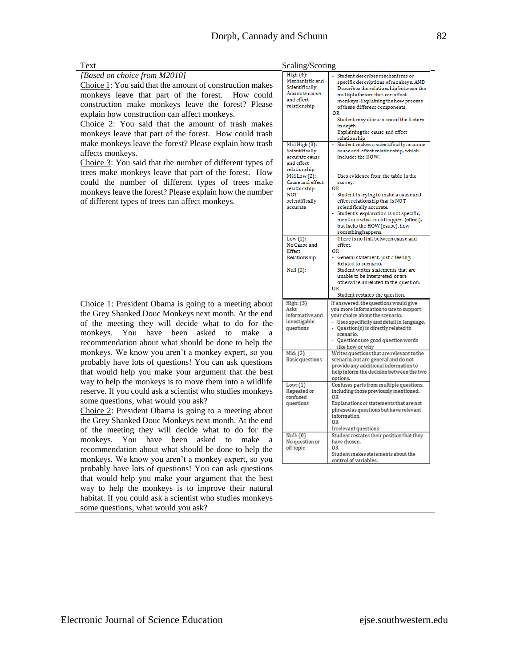*[Based on choice from M2010]*

Choice 1: You said that the amount of construction makes monkeys leave that part of the forest. How could construction make monkeys leave the forest? Please explain how construction can affect monkeys.

Choice 2: You said that the amount of trash makes monkeys leave that part of the forest. How could trash make monkeys leave the forest? Please explain how trash affects monkeys.

Choice 3: You said that the number of different types of trees make monkeys leave that part of the forest. How could the number of different types of trees make monkeys leave the forest? Please explain how the number of different types of trees can affect monkeys.

Choice 1: President Obama is going to a meeting about the Grey Shanked Douc Monkeys next month. At the end of the meeting they will decide what to do for the monkeys. You have been asked to make a recommendation about what should be done to help the monkeys. We know you aren't a monkey expert, so you probably have lots of questions! You can ask questions that would help you make your argument that the best way to help the monkeys is to move them into a wildlife reserve. If you could ask a scientist who studies monkeys some questions, what would you ask?

Choice 2: President Obama is going to a meeting about the Grey Shanked Douc Monkeys next month. At the end of the meeting they will decide what to do for the monkeys. You have been asked to make a recommendation about what should be done to help the monkeys. We know you aren't a monkey expert, so you probably have lots of questions! You can ask questions that would help you make your argument that the best way to help the monkeys is to improve their natural habitat. If you could ask a scientist who studies monkeys some questions, what would you ask?

| Text | Scaling/Scoring |
|------|-----------------|
|      |                 |

| Scaling/Scoring                                                                               |                                                                                                                                                                                                                                                                                                                                                 |
|-----------------------------------------------------------------------------------------------|-------------------------------------------------------------------------------------------------------------------------------------------------------------------------------------------------------------------------------------------------------------------------------------------------------------------------------------------------|
| High(4):<br>Mechanistic and<br>Scientifically<br>Accurate cause<br>and effect<br>relationship | Student describes mechanisms or<br>specific descriptions of monkeys, AND<br>Describes the relationship between the<br>multiple factors that can affect<br>monkeys. Explaining the how process<br>of these different components.<br>ΟR<br>Student may discuss one of the factors<br>in depth.<br>Explaining the cause and effect<br>relationship |
| Mid High (3):<br>Scientifically<br>accurate cause<br>and effect<br>relationship               | Student makes a scientifically accurate<br>cause and effect relationship, which<br>includes the HOW.                                                                                                                                                                                                                                            |
| Mid Low (2):<br>Cause and effect<br>relationship<br>NOT<br>scientifically<br>accurate         | Uses evidence from the table in the<br>survey.<br>OR<br>Student is trying to make a cause and<br>effect relationship that is NOT<br>scientifically accurate.<br>- Student's explanation is not specific,<br>mentions what could happen (effect),<br>but lacks the HOW (cause), how<br>something happens.                                        |
| Low(1):<br>No Cause and<br>Effect<br>Relationship                                             | There is no link between cause and<br>effect.<br>0R<br>- General statement, just a feeling.<br>- Related to scenario.                                                                                                                                                                                                                           |
| Null (0):                                                                                     | Student writes statements that are<br>unable to be interpreted or are<br>otherwise unrelated to the question.<br>ΟR<br>Student restates the question.                                                                                                                                                                                           |
| High: (3)<br>Asks<br>informative and<br>investigable<br>questions                             | If answered, the questions would give<br>you more information to use to support<br>your choice about the scenario.<br>Uses specificity and detail in language.<br>Question(s) is directly related to<br>scenario.<br>Questions use good question words<br>like how or why                                                                       |
| Mid: (2)<br><b>Basic questions</b>                                                            | Writes questions that are relevant to the<br>scenario, but are general and do not<br>provide any additional information to<br>help inform the decision between the two<br>options.                                                                                                                                                              |
| Low: (1)<br>Repeated or<br>confused<br>questions                                              | Confuses parts from multiple questions,<br>including those previously mentioned.<br>OR<br>Explanations or statements that are not<br>phrased as questions but have relevant<br>information.<br>0 <sub>R</sub><br>Irrelevant questions                                                                                                           |
| Null: (0)<br>No question or<br>off topic                                                      | Student restates their position that they<br>have chosen.<br>OR<br>Student makes statements about the<br>$t = 1 - 6$ $t = 1 - 1$                                                                                                                                                                                                                |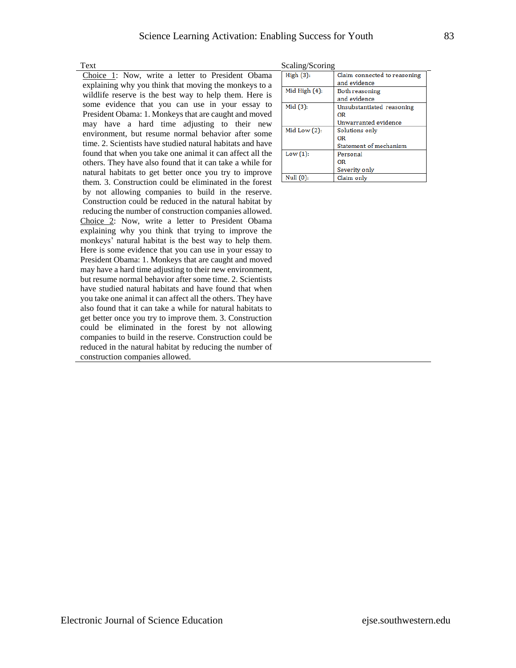Choice 1: Now, write a letter to President Obama explaining why you think that moving the monkeys to a wildlife reserve is the best way to help them. Here is some evidence that you can use in your essay to President Obama: 1. Monkeys that are caught and moved may have a hard time adjusting to their new environment, but resume normal behavior after some time. 2. Scientists have studied natural habitats and have found that when you take one animal it can affect all the others. They have also found that it can take a while for natural habitats to get better once you try to improve them. 3. Construction could be eliminated in the forest by not allowing companies to build in the reserve. Construction could be reduced in the natural habitat by reducing the number of construction companies allowed. Choice 2: Now, write a letter to President Obama explaining why you think that trying to improve the monkeys' natural habitat is the best way to help them. Here is some evidence that you can use in your essay to President Obama: 1. Monkeys that are caught and moved may have a hard time adjusting to their new environment, but resume normal behavior after some time. 2. Scientists have studied natural habitats and have found that when you take one animal it can affect all the others. They have also found that it can take a while for natural habitats to get better once you try to improve them. 3. Construction could be eliminated in the forest by not allowing companies to build in the reserve. Construction could be reduced in the natural habitat by reducing the number of construction companies allowed.

| Text | Scaling/Scoring |
|------|-----------------|
|      |                 |

| $w$ <i>values by villes</i> |                  |                              |  |
|-----------------------------|------------------|------------------------------|--|
|                             | High(3):         | Claim connected to reasoning |  |
|                             |                  | and evidence                 |  |
|                             | Mid High $(4)$ : | Both reasoning               |  |
|                             |                  | and evidence                 |  |
|                             | Mid $(3)$ :      | Unsubstantiated reasoning    |  |
|                             |                  | ΟR                           |  |
|                             |                  | Unwarranted evidence         |  |
|                             | Mid Low $(2)$ :  | Solutions only               |  |
|                             |                  | ΟR                           |  |
|                             |                  | Statement of mechanism       |  |
|                             | Low(1):          | Personal                     |  |
|                             |                  | ΟR                           |  |
|                             |                  | Severity only                |  |
|                             | Null $(0)$ :     | Claim only                   |  |
|                             |                  |                              |  |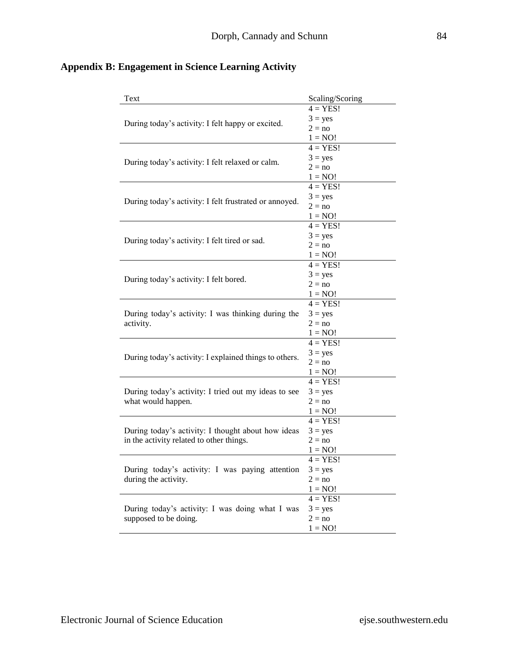| Text                                                                    | Scaling/Scoring       |
|-------------------------------------------------------------------------|-----------------------|
|                                                                         | $4 = YES!$            |
| During today's activity: I felt happy or excited.                       | $3 = yes$             |
|                                                                         | $2 = no$              |
|                                                                         | $1 = NO!$             |
|                                                                         | $4 = YES!$            |
|                                                                         | $3 = yes$             |
| During today's activity: I felt relaxed or calm.                        | $2 = no$              |
|                                                                         | $1 = NO!$             |
| During today's activity: I felt frustrated or annoyed.                  | $4 = YES!$            |
|                                                                         | $3 = yes$             |
|                                                                         | $2 = no$              |
|                                                                         | $1 = NO!$             |
|                                                                         | $4 = YES!$            |
|                                                                         | $3 = yes$             |
| During today's activity: I felt tired or sad.                           | $2 = no$              |
|                                                                         | $1 = NO!$             |
|                                                                         | $4 = \overline{YES!}$ |
|                                                                         | $3 = yes$             |
| During today's activity: I felt bored.                                  | $2 = no$              |
|                                                                         | $1 = NO!$             |
|                                                                         | $4 = YES!$            |
| During today's activity: I was thinking during the                      | $3 = yes$             |
| activity.                                                               | $2 = no$              |
|                                                                         | $1 = NO!$             |
|                                                                         | $4 = YES!$            |
|                                                                         | $3 = yes$             |
| During today's activity: I explained things to others.                  | $2 = no$              |
|                                                                         | $1 = NO!$             |
|                                                                         | $4 = YES!$            |
| During today's activity: I tried out my ideas to see                    | $3 = yes$             |
| what would happen.                                                      | $2 = no$              |
|                                                                         | $1 = NO!$             |
|                                                                         | $4 = YES!$            |
| During today's activity: I thought about how ideas                      | $3 = yes$             |
| in the activity related to other things.                                | $2 = no$              |
|                                                                         | $1 = NO!$             |
|                                                                         | $4 = YES!$            |
| During today's activity: I was paying attention<br>during the activity. | $3 = yes$             |
|                                                                         | $2 = no$              |
|                                                                         | $1 = NO!$             |
|                                                                         | $4 = YES!$            |
| During today's activity: I was doing what I was                         | $3 = yes$             |
| supposed to be doing.                                                   | $2 = no$              |
|                                                                         | $1 = NO!$             |

## **Appendix B: Engagement in Science Learning Activity**